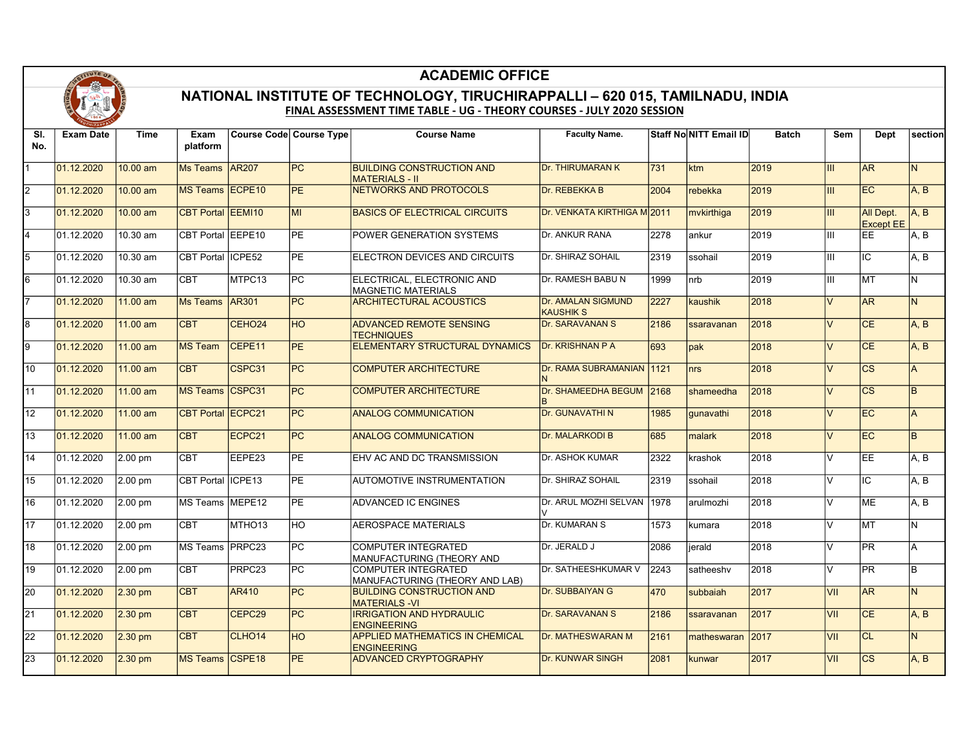

## ACADEMIC OFFICE

## FINAL ASSESSMENT TIME TABLE - UG - THEORY COURSES - JULY 2020 SESSION NATIONAL INSTITUTE OF TECHNOLOGY, TIRUCHIRAPPALLI – 620 015, TAMILNADU, INDIA

| SI.             | <b>Exam Date</b> | Time              | Exam                     |                    | <b>Course Code Course Type</b> | <b>Course Name</b>                                           | <b>Faculty Name.</b>                          |      | Staff NoNITT Email ID | <b>Batch</b> | Sem            | Dept                          | section        |
|-----------------|------------------|-------------------|--------------------------|--------------------|--------------------------------|--------------------------------------------------------------|-----------------------------------------------|------|-----------------------|--------------|----------------|-------------------------------|----------------|
| No.             |                  |                   | platform                 |                    |                                |                                                              |                                               |      |                       |              |                |                               |                |
| $\overline{1}$  | 01.12.2020       | 10.00 am          | <b>Ms Teams</b>          | <b>AR207</b>       | PC                             | <b>BUILDING CONSTRUCTION AND</b><br><b>MATERIALS - II</b>    | Dr. THIRUMARAN K                              | 731  | <b>ktm</b>            | 2019         | <b>III</b>     | A <sub>R</sub>                | N.             |
| $\overline{2}$  | 01.12.2020       | 10.00 am          | <b>MS Teams</b>          | ECPE <sub>10</sub> | PE                             | NETWORKS AND PROTOCOLS                                       | Dr. REBEKKA B                                 | 2004 | rebekka               | 2019         | <b>III</b>     | EC                            | A, B           |
| $\overline{3}$  | 01.12.2020       | 10.00 am          | <b>CBT Portal</b>        | EEMI10             | MI                             | <b>BASICS OF ELECTRICAL CIRCUITS</b>                         | Dr. VENKATA KIRTHIGA M2011                    |      | mvkirthiga            | 2019         | <b>III</b>     | All Dept.<br><b>Except EE</b> | A, B           |
| $\overline{4}$  | 01.12.2020       | 10.30 am          | <b>CBT Portal</b>        | EEPE10             | PE.                            | POWER GENERATION SYSTEMS                                     | Dr. ANKUR RANA                                | 2278 | ankur                 | 2019         | Ш              | EE.                           | A. B           |
| $\overline{5}$  | 01.12.2020       | 10.30 am          | CBT Portal               | ICPE <sub>52</sub> | <b>PE</b>                      | <b>ELECTRON DEVICES AND CIRCUITS</b>                         | Dr. SHIRAZ SOHAIL                             | 2319 | İssohail              | 2019         | Ш              | IC                            | A, B           |
| $\overline{6}$  | 01.12.2020       | 10.30 am          | <b>CBT</b>               | MTPC13             | PC                             | ELECTRICAL, ELECTRONIC AND<br><b>MAGNETIC MATERIALS</b>      | Dr. RAMESH BABU N                             | 1999 | Inrb                  | 2019         | Ш              | <b>MT</b>                     | N.             |
| $\overline{7}$  | 01.12.2020       | $11.00$ am        | <b>Ms Teams</b>          | <b>AR301</b>       | PC                             | <b>ARCHITECTURAL ACOUSTICS</b>                               | <b>Dr. AMALAN SIGMUND</b><br><b>KAUSHIK S</b> | 2227 | <b>kaushik</b>        | 2018         | $\vee$         | <b>AR</b>                     | N.             |
| $\overline{8}$  | 01.12.2020       | 11.00 am          | <b>CBT</b>               | CEHO <sub>24</sub> | HO                             | <b>ADVANCED REMOTE SENSING</b><br><b>TECHNIQUES</b>          | <b>Dr. SARAVANAN S</b>                        | 2186 | ssaravanan            | 2018         | $\vee$         | <b>CE</b>                     | A, B           |
| $\overline{9}$  | 01.12.2020       | 11.00 am          | <b>MS Team</b>           | CEPE11             | <b>PE</b>                      | ELEMENTARY STRUCTURAL DYNAMICS                               | <b>Dr. KRISHNAN P A</b>                       | 693  | pak                   | 2018         | $\vee$         | CE                            | A, B           |
| 10              | 01.12.2020       | 11.00 am          | <b>CBT</b>               | CSPC31             | PC                             | <b>COMPUTER ARCHITECTURE</b>                                 | Dr. RAMA SUBRAMANIAN 1121                     |      | <b>Inrs</b>           | 2018         | $\vee$         | $\overline{\text{cs}}$        | $\overline{A}$ |
| $\overline{11}$ | 01.12.2020       | $11.00$ am        | MS Teams CSPC31          |                    | PC                             | <b>COMPUTER ARCHITECTURE</b>                                 | Dr. SHAMEEDHA BEGUM 2168                      |      | Ishameedha            | 2018         | $\vee$         | $\overline{\text{cs}}$        | $\overline{B}$ |
| 12              | 01.12.2020       | 11.00 am          | <b>CBT Portal ECPC21</b> |                    | PC                             | <b>ANALOG COMMUNICATION</b>                                  | <b>Dr. GUNAVATHI N</b>                        | 1985 | qunavathi             | 2018         | $\vee$         | EC                            | lA.            |
| 13              | 01.12.2020       | 11.00 am          | <b>CBT</b>               | ECPC21             | PC                             | <b>ANALOG COMMUNICATION</b>                                  | Dr. MALARKODI B                               | 685  | Imalark               | 2018         | $\vee$         | EC                            | $\overline{B}$ |
| $\overline{14}$ | 01.12.2020       | 2.00 pm           | <b>CBT</b>               | EEPE23             | <b>PE</b>                      | EHV AC AND DC TRANSMISSION                                   | Dr. ASHOK KUMAR                               | 2322 | <b>Ikrashok</b>       | 2018         | $\overline{V}$ | <b>EE</b>                     | IA. B          |
| 15              | 01.12.2020       | 2.00 pm           | <b>CBT Portal</b>        | ICPE <sub>13</sub> | $\overline{PE}$                | AUTOMOTIVE INSTRUMENTATION                                   | Dr. SHIRAZ SOHAIL                             | 2319 | Issohail              | 2018         | $\overline{V}$ | IC.                           | A.B            |
| 16              | 01.12.2020       | 2.00 pm           | <b>MS Teams</b>          | MEPE <sub>12</sub> | PE                             | ADVANCED IC ENGINES                                          | Dr. ARUL MOZHI SELVAN   1978                  |      | Iarulmozhi            | 2018         | $\vee$         | <b>ME</b>                     | IA. B          |
| $\overline{17}$ | 01.12.2020       | 2.00 pm           | <b>CBT</b>               | MTHO <sub>13</sub> | HO                             | <b>AEROSPACE MATERIALS</b>                                   | Dr. KUMARAN S                                 | 1573 | Ikumara               | 2018         | $\vee$         | MT                            | N.             |
| $\overline{18}$ | 01.12.2020       | 2.00 pm           | <b>MS Teams</b>          | PRPC <sub>23</sub> | PC.                            | COMPUTER INTEGRATED<br>MANUFACTURING (THEORY AND             | Dr. JERALD J                                  | 2086 | lierald               | 2018         | $\overline{V}$ | <b>PR</b>                     | lA.            |
| $\overline{19}$ | 01.12.2020       | 2.00 pm           | <b>CBT</b>               | PRPC <sub>23</sub> | PC                             | COMPUTER INTEGRATED<br>MANUFACTURING (THEORY AND LAB)        | Dr. SATHEESHKUMAR V                           | 2243 | İsatheeshv            | 2018         | $\vee$         | <b>PR</b>                     | Iв             |
| $\overline{20}$ | 01.12.2020       | $2.30$ pm         | <b>CBT</b>               | AR410              | PC                             | <b>BUILDING CONSTRUCTION AND</b><br><b>MATERIALS-VI</b>      | <b>Dr. SUBBAIYAN G</b>                        | 470  | <b>subbaiah</b>       | 2017         | VII            | AR                            | N.             |
| $\overline{21}$ | 01.12.2020       | $2.30$ pm         | <b>CBT</b>               | CEPC29             | PC                             | <b>IRRIGATION AND HYDRAULIC</b><br><b>ENGINEERING</b>        | <b>Dr. SARAVANAN S</b>                        | 2186 | Issaravanan           | 2017         | VII            | CE                            | A, B           |
| $\overline{22}$ | 01.12.2020       | $2.30 \text{ pm}$ | <b>CBT</b>               | CLHO <sub>14</sub> | <b>HO</b>                      | <b>APPLIED MATHEMATICS IN CHEMICAL</b><br><b>ENGINEERING</b> | <b>Dr. MATHESWARAN M</b>                      | 2161 | matheswaran 2017      |              | <b>VII</b>     | CL                            | $\overline{N}$ |
| $\overline{23}$ | 01.12.2020       | $2.30$ pm         | <b>MS Teams</b>          | CSPE <sub>18</sub> | <b>PE</b>                      | <b>ADVANCED CRYPTOGRAPHY</b>                                 | <b>Dr. KUNWAR SINGH</b>                       | 2081 | kunwar                | 2017         | VII            | $\overline{\text{cs}}$        | A. B           |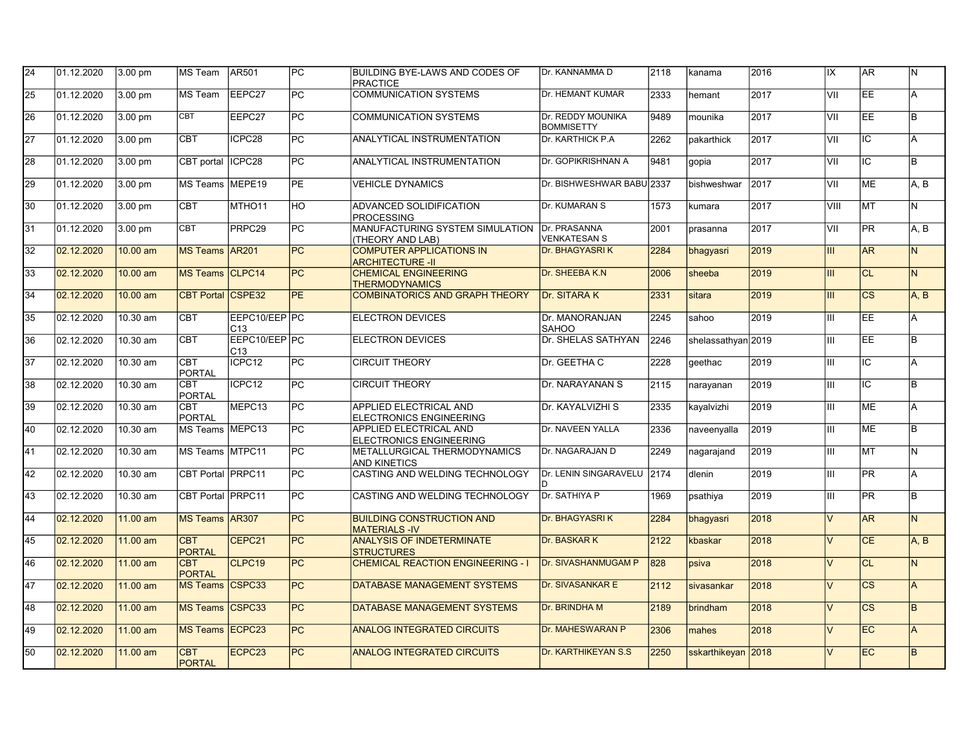| 24              | 01.12.2020 | 3.00 pm  | MS Team                     | AR501                | PC        | BUILDING BYE-LAWS AND CODES OF<br><b>PRACTICE</b>                | <b>IDr. KANNAMMA D</b>                 | 2118 | kanama             | 2016 | lix                     | AR.                    | IN.            |
|-----------------|------------|----------|-----------------------------|----------------------|-----------|------------------------------------------------------------------|----------------------------------------|------|--------------------|------|-------------------------|------------------------|----------------|
| $\overline{25}$ | 01.12.2020 | 3.00 pm  | IMS Team                    | EEPC27               | PC        | <b>COMMUNICATION SYSTEMS</b>                                     | <b>Dr. HEMANT KUMAR</b>                | 2333 | hemant             | 2017 | VII                     | EE                     | A              |
| 26              | 01.12.2020 | 3.00 pm  | <b>CBT</b>                  | EEPC27               | IPC.      | <b>COMMUNICATION SYSTEMS</b>                                     | Dr. REDDY MOUNIKA<br><b>BOMMISETTY</b> | 9489 | mounika            | 2017 | VII                     | EE                     | lB.            |
| 27              | 01.12.2020 | 3.00 pm  | <b>CBT</b>                  | ICPC28               | <b>PC</b> | ANALYTICAL INSTRUMENTATION                                       | Dr. KARTHICK P.A                       | 2262 | pakarthick         | 2017 | VII                     | IC                     | l A            |
| 28              | 01.12.2020 | 3.00 pm  | CBT portal                  | ICPC <sub>28</sub>   | lPC.      | <b>ANALYTICAL INSTRUMENTATION</b>                                | Dr. GOPIKRISHNAN A                     | 9481 | gopia              | 2017 | VII                     | IC                     | lв.            |
| 29              | 01.12.2020 | 3.00 pm  | <b>MS</b> Teams             | MEPE <sub>19</sub>   | PE        | <b>VEHICLE DYNAMICS</b>                                          | Dr. BISHWESHWAR BABU 2337              |      | bishweshwar        | 2017 | VII                     | <b>ME</b>              | A.B            |
| 30              | 01.12.2020 | 3.00 pm  | <b>CBT</b>                  | MTHO11               | <b>HO</b> | ADVANCED SOLIDIFICATION<br><b>PROCESSING</b>                     | Dr. KUMARAN S                          | 1573 | kumara             | 2017 | VIII                    | <b>MT</b>              | lN.            |
| 31              | 01.12.2020 | 3.00 pm  | <b>CBT</b>                  | PRPC29               | <b>PC</b> | MANUFACTURING SYSTEM SIMULATION Dr. PRASANNA<br>(THEORY AND LAB) | <b>VENKATESAN S</b>                    | 2001 | Iprasanna          | 2017 | VII                     | <b>PR</b>              | A, B           |
| 32              | 02.12.2020 | 10.00 am | <b>MS Teams AR201</b>       |                      | <b>PC</b> | <b>COMPUTER APPLICATIONS IN</b><br><b>ARCHITECTURE -II</b>       | <b>Dr. BHAGYASRIK</b>                  | 2284 | bhagyasri          | 2019 | Ш                       | <b>AR</b>              | IN.            |
| 33              | 02.12.2020 | 10.00 am | <b>MS Teams CLPC14</b>      |                      | <b>PC</b> | <b>CHEMICAL ENGINEERING</b><br><b>THERMODYNAMICS</b>             | Dr. SHEEBA K.N                         | 2006 | sheeba             | 2019 | III                     | <b>CL</b>              | N.             |
| 34              | 02.12.2020 | 10.00 am | CBT Portal CSPE32           |                      | <b>PE</b> | <b>COMBINATORICS AND GRAPH THEORY</b>                            | Dr. SITARA K                           | 2331 | sitara             | 2019 | Ш                       | $\overline{\text{cs}}$ | A, B           |
| 35              | 02.12.2020 | 10.30 am | <b>CBT</b>                  | EEPC10/EEP PC<br>C13 |           | <b>ELECTRON DEVICES</b>                                          | Dr. MANORANJAN<br><b>SAHOO</b>         | 2245 | sahoo              | 2019 | Ш                       | EE                     | A              |
| 36              | 02.12.2020 | 10.30 am | <b>CBT</b>                  | EEPC10/EEP PC<br>C13 |           | <b>ELECTRON DEVICES</b>                                          | Dr. SHELAS SATHYAN                     | 2246 | shelassathvan 2019 |      | Ш                       | EE                     | lв.            |
| 37              | 02.12.2020 | 10.30 am | <b>CBT</b><br><b>PORTAL</b> | ICPC <sub>12</sub>   | lPC.      | <b>CIRCUIT THEORY</b>                                            | Dr. GEETHA C                           | 2228 | qeethac            | 2019 | Ш                       | IC                     | A              |
| 38              | 02.12.2020 | 10.30 am | <b>CBT</b><br><b>PORTAL</b> | ICPC12               | PC        | <b>CIRCUIT THEORY</b>                                            | Dr. NARAYANAN S                        | 2115 | narayanan          | 2019 | IШ                      | $\overline{\text{IC}}$ | lв             |
| 39              | 02.12.2020 | 10.30 am | <b>CBT</b><br><b>PORTAL</b> | MEPC13               | IPC.      | <b>APPLIED ELECTRICAL AND</b><br>ELECTRONICS ENGINEERING         | Dr. KAYALVIZHI S                       | 2335 | kavalvizhi         | 2019 | lш                      | <b>IME</b>             | l A            |
| 40              | 02.12.2020 | 10.30 am | MS Teams MEPC13             |                      | <b>PC</b> | APPLIED ELECTRICAL AND<br><b>ELECTRONICS ENGINEERING</b>         | Dr. NAVEEN YALLA                       | 2336 | naveenyalla        | 2019 | Ш                       | <b>ME</b>              | lв             |
| 41              | 02.12.2020 | 10.30 am | MS Teams MTPC11             |                      | PC        | METALLURGICAL THERMODYNAMICS<br><b>AND KINETICS</b>              | Dr. NAGARAJAN D                        | 2249 | Inagarajand        | 2019 | IШ                      | MT                     | IN.            |
| 42              | 02.12.2020 | 10.30 am | CBT Portal PRPC11           |                      | <b>PC</b> | CASTING AND WELDING TECHNOLOGY                                   | Dr. LENIN SINGARAVELU 2174             |      | dlenin             | 2019 | Ш                       | <b>PR</b>              | A              |
| 43              | 02.12.2020 | 10.30 am | CBT Portal PRPC11           |                      | <b>PC</b> | CASTING AND WELDING TECHNOLOGY                                   | Dr. SATHIYA P                          | 1969 | psathiya           | 2019 | Ш                       | PR                     | lв.            |
| 44              | 02.12.2020 | 11.00 am | MS Teams AR307              |                      | <b>PC</b> | <b>BUILDING CONSTRUCTION AND</b><br><b>MATERIALS-IV</b>          | <b>Dr. BHAGYASRIK</b>                  | 2284 | bhagyasri          | 2018 | $\overline{\mathsf{V}}$ | <b>AR</b>              | N.             |
| 45              | 02.12.2020 | 11.00 am | <b>CBT</b><br><b>PORTAL</b> | CEPC21               | lPC.      | <b>ANALYSIS OF INDETERMINATE</b><br><b>STRUCTURES</b>            | Dr. BASKAR K                           | 2122 | kbaskar            | 2018 | $\vee$                  | <b>CE</b>              | A.B            |
| 46              | 02.12.2020 | 11.00 am | <b>CBT</b><br><b>PORTAL</b> | CLPC19               | <b>PC</b> | <b>CHEMICAL REACTION ENGINEERING - I</b>                         | Dr. SIVASHANMUGAM P                    | 828  | psiva              | 2018 | $\vee$                  | CL                     | N.             |
| 47              | 02.12.2020 | 11.00 am | MS Teams CSPC33             |                      | PC        | DATABASE MANAGEMENT SYSTEMS                                      | <b>Dr. SIVASANKAR E</b>                | 2112 | sivasankar         | 2018 | V                       | $\overline{\text{cs}}$ | A              |
| 48              | 02.12.2020 | 11.00 am | <b>MS Teams</b>             | CSPC33               | <b>PC</b> | DATABASE MANAGEMENT SYSTEMS                                      | Dr. BRINDHA M                          | 2189 | <b>brindham</b>    | 2018 | $\vee$                  | <b>CS</b>              | lB.            |
| 49              | 02.12.2020 | 11.00 am | MS Teams ECPC23             |                      | PC        | <b>ANALOG INTEGRATED CIRCUITS</b>                                | <b>Dr. MAHESWARAN P</b>                | 2306 | mahes              | 2018 | $\vee$                  | EC                     | $\overline{A}$ |
| 50              | 02.12.2020 | 11.00 am | <b>CBT</b><br>PORTAL        | ECPC23               | PC        | <b>ANALOG INTEGRATED CIRCUITS</b>                                | <b>Dr. KARTHIKEYAN S.S</b>             | 2250 | sskarthikeyan 2018 |      | $\vee$                  | EC                     | B.             |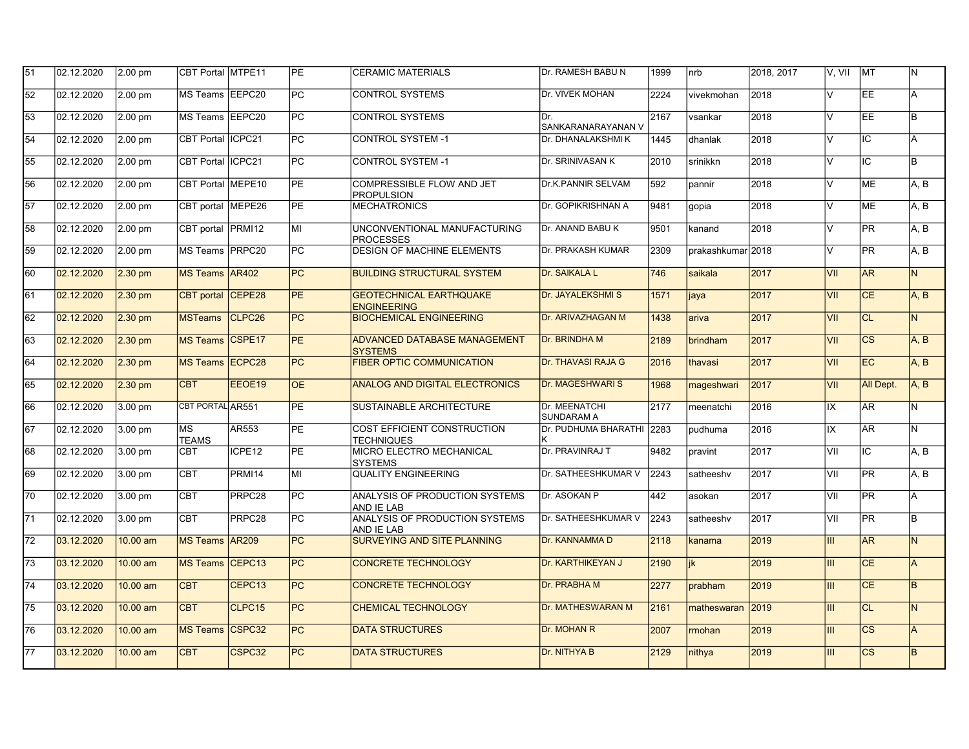| 51 | 02.12.2020 | 2.00 pm   | CBT Portal MTPE11         |                    | PE         | <b>CERAMIC MATERIALS</b>                              | Dr. RAMESH BABU N                  | 1999 | $ $ nrb           | 2018, 2017 | V, VII                  | <b>MT</b>              | IN.            |
|----|------------|-----------|---------------------------|--------------------|------------|-------------------------------------------------------|------------------------------------|------|-------------------|------------|-------------------------|------------------------|----------------|
| 52 | 02.12.2020 | 2.00 pm   | MS Teams   EEPC20         |                    | PC         | <b>CONTROL SYSTEMS</b>                                | Dr. VIVEK MOHAN                    | 2224 | vivekmohan        | 2018       | $\overline{\mathsf{v}}$ | EE                     | A              |
| 53 | 02.12.2020 | 2.00 pm   | MS Teams EEPC20           |                    | IPC.       | <b>CONTROL SYSTEMS</b>                                | Dr.<br>SANKARANARAYANAN V          | 2167 | vsankar           | 2018       | $\vee$                  | EE                     | lв             |
| 54 | 02.12.2020 | 2.00 pm   | CBT Portal IICPC21        |                    | <b>PC</b>  | <b>CONTROL SYSTEM -1</b>                              | Dr. DHANALAKSHMI K                 | 1445 | dhanlak           | 2018       | $\overline{V}$          | IC                     | A              |
| 55 | 02.12.2020 | 2.00 pm   | CBT Portal ICPC21         |                    | PC         | <b>CONTROL SYSTEM -1</b>                              | Dr. SRINIVASAN K                   | 2010 | İsrinikkn         | 2018       | $\vee$                  | IC                     | lB.            |
| 56 | 02.12.2020 | 2.00 pm   | CBT Portal MEPE10         |                    | <b>PE</b>  | <b>COMPRESSIBLE FLOW AND JET</b><br><b>PROPULSION</b> | <b>Dr.K.PANNIR SELVAM</b>          | 592  | pannir            | 2018       | V                       | <b>ME</b>              | A.B            |
| 57 | 02.12.2020 | 2.00 pm   | CBT portal                | MEPE26             | PE         | <b>MECHATRONICS</b>                                   | Dr. GOPIKRISHNAN A                 | 9481 | gopia             | 2018       | $\vee$                  | <b>ME</b>              | A.B            |
| 58 | 02.12.2020 | 2.00 pm   | CBT portal                | PRMI <sub>12</sub> | lмı        | UNCONVENTIONAL MANUFACTURING<br><b>PROCESSES</b>      | Dr. ANAND BABU K                   | 9501 | kanand            | 2018       | V                       | <b>PR</b>              | A, B           |
| 59 | 02.12.2020 | 2.00 pm   | MS Teams PRPC20           |                    | PC         | <b>DESIGN OF MACHINE ELEMENTS</b>                     | Dr. PRAKASH KUMAR                  | 2309 | prakashkumar 2018 |            | $\overline{\mathsf{v}}$ | PR                     | A, B           |
| 60 | 02.12.2020 | $2.30$ pm | MS Teams AR402            |                    | PC         | <b>BUILDING STRUCTURAL SYSTEM</b>                     | Dr. SAIKALA L                      | 746  | saikala           | 2017       | VII                     | <b>AR</b>              | $\overline{N}$ |
| 61 | 02.12.2020 | $2.30$ pm | CBT portal CEPE28         |                    | <b>PE</b>  | <b>GEOTECHNICAL EARTHQUAKE</b><br><b>ENGINEERING</b>  | <b>Dr. JAYALEKSHMI S</b>           | 1571 | <b>jaya</b>       | 2017       | VII                     | <b>CE</b>              | A.B            |
| 62 | 02.12.2020 | $2.30$ pm | <b>MSTeams</b>            | CLPC <sub>26</sub> | PC         | <b>BIOCHEMICAL ENGINEERING</b>                        | Dr. ARIVAZHAGAN M                  | 1438 | ariva             | 2017       | VII                     | <b>CL</b>              | N.             |
| 63 | 02.12.2020 | $2.30$ pm | MS Teams CSPE17           |                    | <b>PE</b>  | <b>ADVANCED DATABASE MANAGEMENT</b><br><b>SYSTEMS</b> | Dr. BRINDHA M                      | 2189 | <b>Ibrindham</b>  | 2017       | VII                     | $\overline{\text{cs}}$ | A, B           |
| 64 | 02.12.2020 | $2.30$ pm | <b>IMS Teams IECPC28</b>  |                    | <b>PC</b>  | <b>FIBER OPTIC COMMUNICATION</b>                      | <b>Dr. THAVASI RAJA G</b>          | 2016 | <b>thavasi</b>    | 2017       | VII                     | EC                     | A, B           |
| 65 | 02.12.2020 | $2.30$ pm | <b>CBT</b>                | EEOE19             | <b>OE</b>  | <b>ANALOG AND DIGITAL ELECTRONICS</b>                 | <b>Dr. MAGESHWARI S</b>            | 1968 | mageshwari        | 2017       | VII                     | All Dept.              | A, B           |
| 66 | 02.12.2020 | 3.00 pm   | CBT PORTAL AR551          |                    | <b>IPE</b> | SUSTAINABLE ARCHITECTURE                              | Dr. MEENATCHI<br><b>SUNDARAM A</b> | 2177 | meenatchi         | 2016       | IX                      | AR.                    | lN.            |
| 67 | 02.12.2020 | 3.00 pm   | <b>MS</b><br><b>TEAMS</b> | AR553              | PE         | COST EFFICIENT CONSTRUCTION<br><b>TECHNIQUES</b>      | Dr. PUDHUMA BHARATHI 2283          |      | pudhuma           | 2016       | IX                      | AR.                    | N              |
| 68 | 02.12.2020 | 3.00 pm   | <b>CBT</b>                | ICPE12             | <b>PE</b>  | MICRO ELECTRO MECHANICAL<br><b>SYSTEMS</b>            | Dr. PRAVINRAJ T                    | 9482 | Ipravint          | 2017       | VII                     | IC                     | A.B            |
| 69 | 02.12.2020 | 3.00 pm   | <b>CBT</b>                | <b>PRMI14</b>      | MI         | <b>QUALITY ENGINEERING</b>                            | Dr. SATHEESHKUMAR V                | 2243 | satheeshy         | 2017       | VII                     | PR                     | A, B           |
| 70 | 02.12.2020 | 3.00 pm   | <b>CBT</b>                | PRPC <sub>28</sub> | PC         | ANALYSIS OF PRODUCTION SYSTEMS<br>AND IE LAB          | Dr. ASOKAN P                       | 442  | asokan            | 2017       | VII                     | PR                     | $\overline{A}$ |
| 71 | 02.12.2020 | 3.00 pm   | <b>CBT</b>                | PRPC28             | <b>PC</b>  | ANALYSIS OF PRODUCTION SYSTEMS<br>AND IE LAB          | Dr. SATHEESHKUMAR V                | 2243 | satheeshy         | 2017       | VII                     | <b>PR</b>              | l B            |
| 72 | 03.12.2020 | 10.00 am  | MS Teams AR209            |                    | PC         | SURVEYING AND SITE PLANNING                           | Dr. KANNAMMA D                     | 2118 | kanama            | 2019       | III                     | AR                     | IN.            |
| 73 | 03.12.2020 | 10.00 am  | <b>MS Teams</b>           | CEPC <sub>13</sub> | PC         | <b>CONCRETE TECHNOLOGY</b>                            | Dr. KARTHIKEYAN J                  | 2190 | lik               | 2019       | III                     | <b>CE</b>              | A              |
| 74 | 03.12.2020 | 10.00 am  | <b>CBT</b>                | CEPC13             | PC         | <b>CONCRETE TECHNOLOGY</b>                            | Dr. PRABHA M                       | 2277 | prabham           | 2019       | III                     | CE                     | $\overline{B}$ |
| 75 | 03.12.2020 | 10.00 am  | <b>CBT</b>                | CLPC <sub>15</sub> | <b>PC</b>  | <b>CHEMICAL TECHNOLOGY</b>                            | <b>Dr. MATHESWARAN M</b>           | 2161 | matheswaran       | 2019       | III                     | <b>CL</b>              | IN.            |
| 76 | 03.12.2020 | 10.00 am  | MS Teams CSPC32           |                    | PC         | <b>DATA STRUCTURES</b>                                | Dr. MOHAN R                        | 2007 | <b>Imohan</b>     | 2019       | III                     | $\overline{\text{cs}}$ | lA.            |
| 77 | 03.12.2020 | 10.00 am  | <b>CBT</b>                | CSPC32             | PC         | <b>DATA STRUCTURES</b>                                | Dr. NITHYA B                       | 2129 | nithya            | 2019       | III                     | <b>CS</b>              | B.             |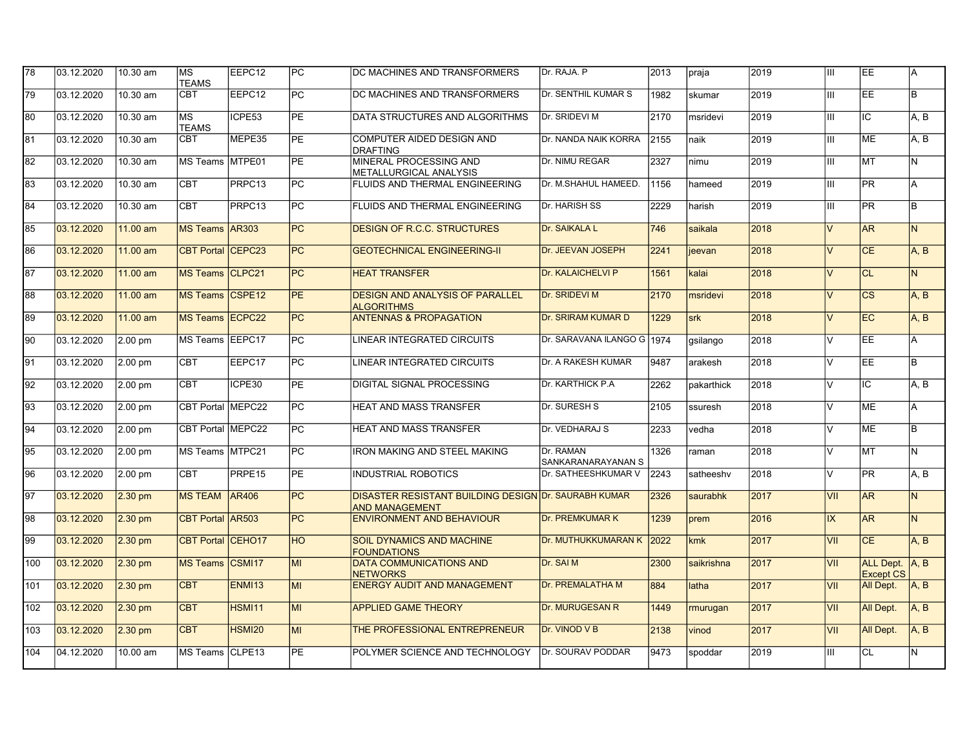| 78  | 03.12.2020 | 10.30 am  | МS<br><b>TEAMS</b>      | EEPC12             | <b>PC</b>       | <b>DC MACHINES AND TRANSFORMERS</b>                                                  | Dr. RAJA. P                      | 2013 | praja      | 2019 | Ш      | EE                                 | IA.                |
|-----|------------|-----------|-------------------------|--------------------|-----------------|--------------------------------------------------------------------------------------|----------------------------------|------|------------|------|--------|------------------------------------|--------------------|
| 79  | 03.12.2020 | 10.30 am  | CBT                     | EEPC12             | PC              | DC MACHINES AND TRANSFORMERS                                                         | Dr. SENTHIL KUMAR S              | 1982 | skumar     | 2019 | Ш      | EE                                 | lв.                |
| 80  | 03.12.2020 | 10.30 am  | МS<br><b>TEAMS</b>      | ICPE53             | <b>PE</b>       | DATA STRUCTURES AND ALGORITHMS                                                       | Dr. SRIDEVI M                    | 2170 | msridevi   | 2019 | Ш      | IC                                 | A, B               |
| 81  | 03.12.2020 | 10.30 am  | CBT                     | MEPE35             | PE              | COMPUTER AIDED DESIGN AND<br><b>DRAFTING</b>                                         | Dr. NANDA NAIK KORRA             | 2155 | naik       | 2019 | Ш      | <b>ME</b>                          | la. B              |
| 82  | 03.12.2020 | 10.30 am  | MS Teams IMTPE01        |                    | <b>PE</b>       | MINERAL PROCESSING AND<br>METALLURGICAL ANALYSIS                                     | Dr. NIMU REGAR                   | 2327 | nimu       | 2019 | Ш      | <b>MT</b>                          | IN.                |
| 83  | 03.12.2020 | 10.30 am  | $\overline{\text{CBT}}$ | PRPC13             | $\overline{PC}$ | FLUIDS AND THERMAL ENGINEERING                                                       | Dr. M.SHAHUL HAMEED.             | 1156 | hameed     | 2019 | Ш      | PR                                 | Ā                  |
| 84  | 03.12.2020 | 10.30 am  | <b>CBT</b>              | PRPC13             | <b>PC</b>       | <b>FLUIDS AND THERMAL ENGINEERING</b>                                                | Dr. HARISH SS                    | 2229 | harish     | 2019 | Ш      | <b>PR</b>                          | l B                |
| 85  | 03.12.2020 | 11.00 am  | <b>MS Teams</b>         | <b>AR303</b>       | <b>PC</b>       | <b>DESIGN OF R.C.C. STRUCTURES</b>                                                   | Dr. SAIKALA L                    | 746  | saikala    | 2018 | $\vee$ | AR                                 | IN.                |
| 86  | 03.12.2020 | 11.00 am  | <b>CBT</b> Portal       | CEPC <sub>23</sub> | PC              | <b>GEOTECHNICAL ENGINEERING-II</b>                                                   | Dr. JEEVAN JOSEPH                | 2241 | jeevan     | 2018 | $\vee$ | <b>CE</b>                          | A, B               |
| 87  | 03.12.2020 | 11.00 am  | <b>MS Teams</b>         | CLPC <sub>21</sub> | <b>PC</b>       | <b>HEAT TRANSFER</b>                                                                 | Dr. KALAICHELVI P                | 1561 | kalai      | 2018 | $\vee$ | <b>CL</b>                          | IN.                |
| 88  | 03.12.2020 | 11.00 am  | <b>MS Teams</b>         | CSPE <sub>12</sub> | <b>PE</b>       | <b>DESIGN AND ANALYSIS OF PARALLEL</b><br><b>ALGORITHMS</b>                          | Dr. SRIDEVI M                    | 2170 | msridevi   | 2018 | $\vee$ | <b>CS</b>                          | A, B               |
| 89  | 03.12.2020 | 11.00 am  | <b>MS Teams</b>         | ECPC <sub>22</sub> | PC              | <b>ANTENNAS &amp; PROPAGATION</b>                                                    | Dr. SRIRAM KUMAR D               | 1229 | srk        | 2018 | $\vee$ | EC                                 | A, B               |
| 90  | 03.12.2020 | $2.00$ pm | MS Teams   EEPC17       |                    | <b>PC</b>       | <b>LINEAR INTEGRATED CIRCUITS</b>                                                    | Dr. SARAVANA ILANGO G 1974       |      | qsilango   | 2018 | $\vee$ | <b>EE</b>                          | lA.                |
| 91  | 03.12.2020 | $2.00$ pm | <b>CBT</b>              | EEPC17             | <b>PC</b>       | LINEAR INTEGRATED CIRCUITS                                                           | Dr. A RAKESH KUMAR               | 9487 | arakesh    | 2018 | $\vee$ | EE.                                | lв.                |
| 92  | 03.12.2020 | 2.00 pm   | <b>CBT</b>              | ICPE30             | PE              | DIGITAL SIGNAL PROCESSING                                                            | Dr. KARTHICK P.A                 | 2262 | pakarthick | 2018 | $\vee$ | IC.                                | A, B               |
| 93  | 03.12.2020 | 2.00 pm   | CBT Portal MEPC22       |                    | PC              | <b>HEAT AND MASS TRANSFER</b>                                                        | Dr. SURESH S                     | 2105 | ssuresh    | 2018 | $\vee$ | <b>ME</b>                          | lA.                |
| 94  | 03.12.2020 | $2.00$ pm | CBT Portal IMEPC22      |                    | PC              | <b>HEAT AND MASS TRANSFER</b>                                                        | Dr. VEDHARAJ S                   | 2233 | vedha      | 2018 | V      | ME                                 | lB.                |
| 95  | 03.12.2020 | 2.00 pm   | MS Teams MTPC21         |                    | <b>PC</b>       | <b>IRON MAKING AND STEEL MAKING</b>                                                  | Dr. RAMAN<br>ISANKARANARAYANAN S | 1326 | raman      | 2018 | V      | <b>MT</b>                          | IN.                |
| 96  | 03.12.2020 | 2.00 pm   | <b>CBT</b>              | PRPE15             | <b>PE</b>       | <b>INDUSTRIAL ROBOTICS</b>                                                           | Dr. SATHEESHKUMAR V              | 2243 | satheeshy  | 2018 | $\vee$ | <b>PR</b>                          | A, B               |
| 97  | 03.12.2020 | $2.30$ pm | <b>MS TEAM</b>          | <b>AR406</b>       | PC              | <b>DISASTER RESISTANT BUILDING DESIGN Dr. SAURABH KUMAR</b><br><b>AND MANAGEMENT</b> |                                  | 2326 | saurabhk   | 2017 | VII    | <b>AR</b>                          | IN.                |
| 98  | 03.12.2020 | $2.30$ pm | <b>CBT Portal</b>       | <b>AR503</b>       | <b>PC</b>       | <b>ENVIRONMENT AND BEHAVIOUR</b>                                                     | <b>Dr. PREMKUMAR K</b>           | 1239 | prem       | 2016 | IX     | AR                                 | IN.                |
| 99  | 03.12.2020 | $2.30$ pm | CBT Portal CEHO17       |                    | <b>HO</b>       | SOIL DYNAMICS AND MACHINE<br><b>FOUNDATIONS</b>                                      | Dr. MUTHUKKUMARAN K 2022         |      | kmk        | 2017 | VII    | CE                                 | A, B               |
| 100 | 03.12.2020 | $2.30$ pm | <b>MS Teams</b>         | CSMI17             | lмı             | <b>DATA COMMUNICATIONS AND</b><br><b>NETWORKS</b>                                    | Dr. SAI M                        | 2300 | saikrishna | 2017 | VII    | ALL Dept. A, B<br><b>Except CS</b> |                    |
| 101 | 03.12.2020 | $2.30$ pm | <b>CBT</b>              | <b>ENMI13</b>      | MI              | <b>ENERGY AUDIT AND MANAGEMENT</b>                                                   | <b>Dr. PREMALATHA M</b>          | 884  | latha      | 2017 | VII    | All Dept.                          | $\overline{A}$ . B |
| 102 | 03.12.2020 | 2.30 pm   | <b>CBT</b>              | <b>HSMI11</b>      | MI              | <b>APPLIED GAME THEORY</b>                                                           | <b>Dr. MURUGESAN R</b>           | 1449 | rmurugan   | 2017 | VII    | All Dept.                          | IA.B               |
| 103 | 03.12.2020 | 2.30 pm   | <b>CBT</b>              | <b>HSMI20</b>      | MI              | THE PROFESSIONAL ENTREPRENEUR                                                        | Dr. VINOD V B                    | 2138 | vinod      | 2017 | VII    | All Dept.                          | A, B               |
| 104 | 04.12.2020 | 10.00 am  | MS Teams CLPE13         |                    | <b>PE</b>       | POLYMER SCIENCE AND TECHNOLOGY                                                       | Dr. SOURAV PODDAR                | 9473 | spoddar    | 2019 | Ш      | lcL                                | lN.                |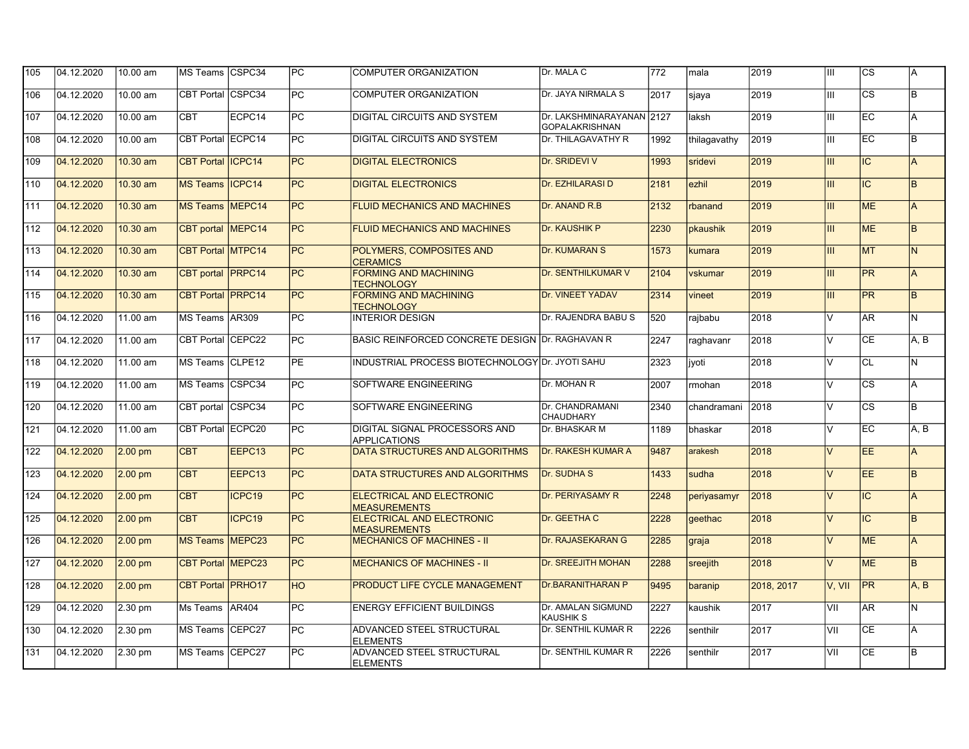| 105 | 04.12.2020 | 10.00 am          | MS Teams CSPC34          |                    | PC              | COMPUTER ORGANIZATION                                | Dr. MALA C                                  | 772  | mala         | 2019       | ШL                      | <b>CS</b>              | IA.      |
|-----|------------|-------------------|--------------------------|--------------------|-----------------|------------------------------------------------------|---------------------------------------------|------|--------------|------------|-------------------------|------------------------|----------|
| 106 | 04.12.2020 | 10.00 am          | CBT Portal CSPC34        |                    | $\overline{PC}$ | <b>COMPUTER ORGANIZATION</b>                         | Dr. JAYA NIRMALA S                          | 2017 | sjaya        | 2019       | Ш                       | $\overline{\text{cs}}$ | lв       |
| 107 | 04.12.2020 | 10.00 am          | <b>CBT</b>               | ECPC14             | PC              | <b>DIGITAL CIRCUITS AND SYSTEM</b>                   | Dr. LAKSHMINARAYANAN 2127<br>GOPALAKRISHNAN |      | laksh        | 2019       | Ш                       | EC                     | l A      |
| 108 | 04.12.2020 | 10.00 am          | CBT Portal ECPC14        |                    | PC              | DIGITAL CIRCUITS AND SYSTEM                          | Dr. THILAGAVATHY R                          | 1992 | thilagavathy | 2019       | Ш                       | EC                     | lв.      |
| 109 | 04.12.2020 | 10.30 am          | <b>CBT Portal ICPC14</b> |                    | $\overline{PC}$ | <b>DIGITAL ELECTRONICS</b>                           | Dr. SRIDEVI V                               | 1993 | sridevi      | 2019       | III                     | IC.                    | A        |
| 110 | 04.12.2020 | 10.30 am          | <b>MS Teams</b>          | ICPC <sub>14</sub> | PC              | <b>DIGITAL ELECTRONICS</b>                           | Dr. EZHILARASI D                            | 2181 | ezhil        | 2019       | Ш                       | $\overline{IC}$        | <b>B</b> |
| 111 | 04.12.2020 | 10.30 am          | MS Teams MEPC14          |                    | PC              | <b>FLUID MECHANICS AND MACHINES</b>                  | Dr. ANAND R.B                               | 2132 | rbanand      | 2019       | Ш                       | <b>ME</b>              | A        |
| 112 | 04.12.2020 | 10.30 am          | CBT portal   MEPC14      |                    | PC              | <b>FLUID MECHANICS AND MACHINES</b>                  | Dr. KAUSHIK P                               | 2230 | pkaushik     | 2019       | Ш                       | <b>ME</b>              | lв.      |
| 113 | 04.12.2020 | 10.30 am          | <b>CBT Portal MTPC14</b> |                    | PC              | POLYMERS, COMPOSITES AND<br><b>CERAMICS</b>          | <b>Dr. KUMARAN S</b>                        | 1573 | kumara       | 2019       | Ш                       | <b>MT</b>              | IN.      |
| 114 | 04.12.2020 | 10.30 am          | CBT portal PRPC14        |                    | $\overline{PC}$ | <b>FORMING AND MACHINING</b><br><b>TECHNOLOGY</b>    | <b>Dr. SENTHILKUMAR V</b>                   | 2104 | vskumar      | 2019       | Ш                       | <b>PR</b>              | A        |
| 115 | 04.12.2020 | 10.30 am          | <b>CBT Portal PRPC14</b> |                    | $\overline{PC}$ | <b>FORMING AND MACHINING</b><br><b>TECHNOLOGY</b>    | <b>Dr. VINEET YADAV</b>                     | 2314 | vineet       | 2019       | Ш                       | PR                     | <b>B</b> |
| 116 | 04.12.2020 | 11.00 am          | MS Teams AR309           |                    | PC              | <b>INTERIOR DESIGN</b>                               | Dr. RAJENDRA BABU S                         | 520  | raibabu      | 2018       | $\overline{V}$          | AR <sup>1</sup>        | lN.      |
| 117 | 04.12.2020 | 11.00 am          | CBT Portal CEPC22        |                    | $\overline{PC}$ | BASIC REINFORCED CONCRETE DESIGN Dr. RAGHAVAN R      |                                             | 2247 | raghavanr    | 2018       | $\overline{\mathsf{v}}$ | CE                     | A, B     |
| 118 | 04.12.2020 | 11.00 am          | MS Teams CLPE12          |                    | <b>PE</b>       | INDUSTRIAL PROCESS BIOTECHNOLOGY Dr. JYOTI SAHU      |                                             | 2323 | livoti       | 2018       | $\vee$                  | CL                     | lN.      |
| 119 | 04.12.2020 | 11.00 am          | MS Teams CSPC34          |                    | PC              | SOFTWARE ENGINEERING                                 | Dr. MOHAN R                                 | 2007 | rmohan       | 2018       | $\overline{V}$          | $\overline{\text{cs}}$ | A        |
| 120 | 04.12.2020 | 11.00 am          | CBT portal CSPC34        |                    | PC              | SOFTWARE ENGINEERING                                 | Dr. CHANDRAMANI<br><b>CHAUDHARY</b>         | 2340 | chandramani  | 2018       | $\vee$                  | <b>CS</b>              | lв.      |
| 121 | 04.12.2020 | 11.00 am          | CBT Portal ECPC20        |                    | PC              | DIGITAL SIGNAL PROCESSORS AND<br><b>APPLICATIONS</b> | Dr. BHASKAR M                               | 1189 | İbhaskar     | 2018       | lv                      | <b>EC</b>              | A, B     |
| 122 | 04.12.2020 | $2.00 \text{ pm}$ | <b>CBT</b>               | EEPC <sub>13</sub> | PC              | DATA STRUCTURES AND ALGORITHMS                       | Dr. RAKESH KUMAR A                          | 9487 | arakesh      | 2018       | lv                      | EE.                    | A.       |
| 123 | 04.12.2020 | $2.00$ pm         | <b>CBT</b>               | EEPC <sub>13</sub> | $\overline{PC}$ | <b>DATA STRUCTURES AND ALGORITHMS</b>                | <b>Dr. SUDHA S</b>                          | 1433 | sudha        | 2018       | $\vee$                  | EE.                    | B.       |
| 124 | 04.12.2020 | $2.00$ pm         | <b>CBT</b>               | ICPC19             | PC              | ELECTRICAL AND ELECTRONIC<br><b>MEASUREMENTS</b>     | Dr. PERIYASAMY R                            | 2248 | periyasamyr  | 2018       | $\vee$                  | IC                     | A        |
| 125 | 04.12.2020 | $2.00 \text{ pm}$ | <b>CBT</b>               | ICPC19             | PC              | ELECTRICAL AND ELECTRONIC<br><b>MEASUREMENTS</b>     | Dr. GEETHA C                                | 2228 | qeethac      | 2018       | $\vee$                  | <b>IC</b>              | lв.      |
| 126 | 04.12.2020 | $2.00 \text{ pm}$ | MS Teams MEPC23          |                    | $\overline{PC}$ | <b>MECHANICS OF MACHINES - II</b>                    | Dr. RAJASEKARAN G                           | 2285 | graja        | 2018       | $\vee$                  | <b>ME</b>              | <b>A</b> |
| 127 | 04.12.2020 | $2.00 \text{ pm}$ | <b>CBT Portal MEPC23</b> |                    | PC              | <b>MECHANICS OF MACHINES - II</b>                    | <b>Dr. SREEJITH MOHAN</b>                   | 2288 | sreejith     | 2018       | $\vee$                  | <b>ME</b>              | lв.      |
| 128 | 04.12.2020 | $2.00$ pm         | <b>CBT Portal PRHO17</b> |                    | <b>HO</b>       | PRODUCT LIFE CYCLE MANAGEMENT                        | <b>Dr.BARANITHARAN P</b>                    | 9495 | baranip      | 2018, 2017 | V, VII                  | PR                     | A, B     |
| 129 | 04.12.2020 | 2.30 pm           | Ms Teams                 | <b>AR404</b>       | $\overline{PC}$ | <b>ENERGY EFFICIENT BUILDINGS</b>                    | Dr. AMALAN SIGMUND<br><b>KAUSHIK S</b>      | 2227 | kaushik      | 2017       | VII                     | <b>AR</b>              | IN.      |
| 130 | 04.12.2020 | 2.30 pm           | MS Teams ICEPC27         |                    | PC              | ADVANCED STEEL STRUCTURAL<br><b>ELEMENTS</b>         | Dr. SENTHIL KUMAR R                         | 2226 | senthilr     | 2017       | VII                     | <b>CE</b>              | A        |
| 131 | 04.12.2020 | 2.30 pm           | IMS Teams ICEPC27        |                    | $\overline{PC}$ | ADVANCED STEEL STRUCTURAL<br><b>ELEMENTS</b>         | Dr. SENTHIL KUMAR R                         | 2226 | senthilr     | 2017       | VII                     | <b>CE</b>              | lB.      |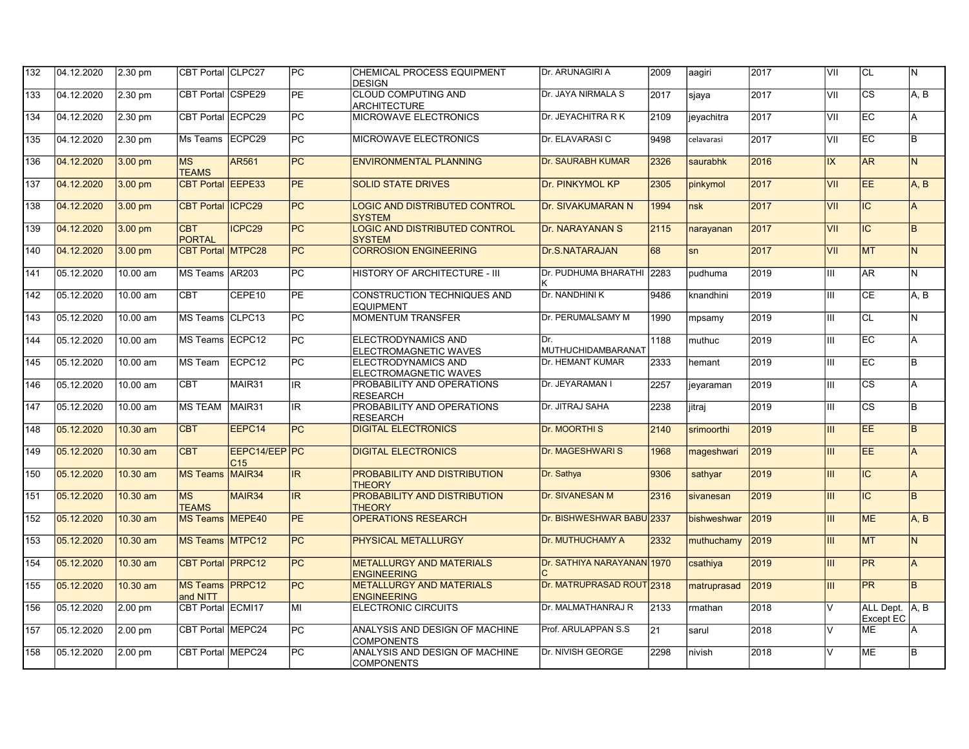| 132 | 04.12.2020 | 2.30 pm           | CBT Portal CLPC27             |                                  | PC              | <b>CHEMICAL PROCESS EQUIPMENT</b><br><b>DESIGN</b>    | Dr. ARUNAGIRI A                   | 2009 | aagiri      | 2017 | VII    | ICL                                | IN.      |
|-----|------------|-------------------|-------------------------------|----------------------------------|-----------------|-------------------------------------------------------|-----------------------------------|------|-------------|------|--------|------------------------------------|----------|
| 133 | 04.12.2020 | 2.30 pm           | CBT Portal CSPE29             |                                  | $\overline{PE}$ | <b>CLOUD COMPUTING AND</b><br><b>ARCHITECTURE</b>     | Dr. JAYA NIRMALA S                | 2017 | sjaya       | 2017 | VII    | $\overline{\text{cs}}$             | A, B     |
| 134 | 04.12.2020 | 2.30 pm           | CBT Portal ECPC29             |                                  | PC              | <b>MICROWAVE ELECTRONICS</b>                          | Dr. JEYACHITRA R K                | 2109 | jeyachitra  | 2017 | VII    | EC                                 | l A      |
| 135 | 04.12.2020 | 2.30 pm           | Ms Teams                      | ECPC29                           | <b>PC</b>       | MICROWAVE ELECTRONICS                                 | Dr. ELAVARASI C                   | 9498 | celavarasi  | 2017 | VII    | EC                                 | lв.      |
| 136 | 04.12.2020 | $3.00$ pm         | <b>MS</b><br><b>TEAMS</b>     | AR561                            | PC              | <b>ENVIRONMENTAL PLANNING</b>                         | <b>Dr. SAURABH KUMAR</b>          | 2326 | saurabhk    | 2016 | IX     | AR                                 | IN.      |
| 137 | 04.12.2020 | $3.00 \text{ pm}$ | <b>CBT Portal EEPE33</b>      |                                  | PE.             | <b>SOLID STATE DRIVES</b>                             | Dr. PINKYMOL KP                   | 2305 | pinkymol    | 2017 | VII    | EE.                                | A.B      |
| 138 | 04.12.2020 | 3.00 pm           | <b>CBT Portal</b>             | ICPC <sub>29</sub>               | PC              | LOGIC AND DISTRIBUTED CONTROL<br><b>SYSTEM</b>        | Dr. SIVAKUMARAN N                 | 1994 | <b>nsk</b>  | 2017 | VII    | IC.                                | A        |
| 139 | 04.12.2020 | $3.00$ pm         | <b>CBT</b><br><b>PORTAL</b>   | ICPC <sub>29</sub>               | PC              | <b>LOGIC AND DISTRIBUTED CONTROL</b><br><b>SYSTEM</b> | <b>Dr. NARAYANAN S</b>            | 2115 | narayanan   | 2017 | VII    | IC.                                | lB.      |
| 140 | 04.12.2020 | $3.00 \text{ pm}$ | <b>CBT Portal MTPC28</b>      |                                  | <b>PC</b>       | <b>CORROSION ENGINEERING</b>                          | Dr.S.NATARAJAN                    | 86   | sn          | 2017 | VII    | <b>MT</b>                          | IN.      |
| 141 | 05.12.2020 | 10.00 am          | <b>MS Teams</b>               | AR203                            | PC              | HISTORY OF ARCHITECTURE - III                         | Dr. PUDHUMA BHARATHI 2283         |      | pudhuma     | 2019 | Ш      | AR.                                | lN.      |
| 142 | 05.12.2020 | 10.00 am          | <b>CBT</b>                    | CEPE10                           | <b>PE</b>       | CONSTRUCTION TECHNIQUES AND<br><b>EQUIPMENT</b>       | Dr. NANDHINI K                    | 9486 | knandhini   | 2019 | Ш      | CE                                 | A, B     |
| 143 | 05.12.2020 | 10.00 am          | <b>MS Teams</b>               | CLPC <sub>13</sub>               | $\overline{PC}$ | <b>MOMENTUM TRANSFER</b>                              | Dr. PERUMALSAMY M                 | 1990 | mpsamy      | 2019 | Ш      | <b>CL</b>                          | IN.      |
| 144 | 05.12.2020 | 10.00 am          | MS Teams ECPC12               |                                  | PC              | ELECTRODYNAMICS AND<br>ELECTROMAGNETIC WAVES          | Dr.<br><b>IMUTHUCHIDAMBARANAT</b> | 1188 | muthuc      | 2019 | Ш      | lEC.                               | l A      |
| 145 | 05.12.2020 | 10.00 am          | <b>MS Team</b>                | ECPC12                           | PC              | ELECTRODYNAMICS AND<br>ELECTROMAGNETIC WAVES          | Dr. HEMANT KUMAR                  | 2333 | hemant      | 2019 | Ш      | EC                                 | lв       |
| 146 | 05.12.2020 | 10.00 am          | <b>CBT</b>                    | MAIR31                           | IR              | PROBABILITY AND OPERATIONS<br><b>RESEARCH</b>         | Dr. JEYARAMAN I                   | 2257 | jeyaraman   | 2019 | Ш      | $\overline{\text{cs}}$             | A        |
| 147 | 05.12.2020 | 10.00 am          | <b>MS TEAM</b>                | MAIR31                           | IR.             | PROBABILITY AND OPERATIONS<br><b>RESEARCH</b>         | Dr. JITRAJ SAHA                   | 2238 | jitraj      | 2019 | Ш      | <b>CS</b>                          | lB.      |
| 148 | 05.12.2020 | 10.30 am          | <b>CBT</b>                    | EEPC14                           | PC              | <b>DIGITAL ELECTRONICS</b>                            | Dr. MOORTHI <sub>S</sub>          | 2140 | srimoorthi  | 2019 | III.   | EE                                 | <b>B</b> |
| 149 | 05.12.2020 | 10.30 am          | <b>CBT</b>                    | EEPC14/EEP PC<br>C <sub>15</sub> |                 | <b>DIGITAL ELECTRONICS</b>                            | <b>Dr. MAGESHWARI S</b>           | 1968 | mageshwari  | 2019 | Ш      | EE                                 | A        |
| 150 | 05.12.2020 | 10.30 am          | <b>MS Teams</b>               | MAIR <sub>34</sub>               | IR.             | PROBABILITY AND DISTRIBUTION<br><b>THEORY</b>         | Dr. Sathya                        | 9306 | sathvar     | 2019 | Ш      | IC.                                | A        |
| 151 | 05.12.2020 | 10.30 am          | MS<br><b>TEAMS</b>            | MAIR34                           | IR.             | PROBABILITY AND DISTRIBUTION<br><b>THEORY</b>         | Dr. SIVANESAN M                   | 2316 | sivanesan   | 2019 | III.   | <b>IC</b>                          | lв.      |
| 152 | 05.12.2020 | 10.30 am          | <b>MS Teams</b>               | MEPE <sub>40</sub>               | <b>PE</b>       | <b>OPERATIONS RESEARCH</b>                            | Dr. BISHWESHWAR BABU 2337         |      | bishweshwar | 2019 | Ш      | <b>ME</b>                          | A, B     |
| 153 | 05.12.2020 | 10.30 am          | <b>MS Teams MTPC12</b>        |                                  | PC              | <b>PHYSICAL METALLURGY</b>                            | <b>Dr. MUTHUCHAMY A</b>           | 2332 | muthuchamy  | 2019 | Ш      | <b>MT</b>                          | IN.      |
| 154 | 05.12.2020 | 10.30 am          | <b>CBT Portal PRPC12</b>      |                                  | PC              | <b>METALLURGY AND MATERIALS</b><br><b>ENGINEERING</b> | Dr. SATHIYA NARAYANAN 1970        |      | csathiya    | 2019 | III    | PR                                 | A.       |
| 155 | 05.12.2020 | 10.30 am          | MS Teams   PRPC12<br>and NITT |                                  | $\overline{PC}$ | <b>METALLURGY AND MATERIALS</b><br><b>ENGINEERING</b> | Dr. MATRUPRASAD ROUT 2318         |      | matruprasad | 2019 | Ш      | PR                                 | <b>B</b> |
| 156 | 05.12.2020 | $2.00$ pm         | CBT Portal ECMI17             |                                  | MI              | <b>ELECTRONIC CIRCUITS</b>                            | Dr. MALMATHANRAJ R                | 2133 | rmathan     | 2018 | $\vee$ | ALL Dept. A, B<br><b>Except EC</b> |          |
| 157 | 05.12.2020 | $2.00$ pm         | CBT Portal MEPC24             |                                  | PC              | ANALYSIS AND DESIGN OF MACHINE<br><b>COMPONENTS</b>   | Prof. ARULAPPAN S.S               | 21   | sarul       | 2018 | V      | ME                                 | l A      |
| 158 | 05.12.2020 | 2.00 pm           | CBT Portal   MEPC24           |                                  | PC              | ANALYSIS AND DESIGN OF MACHINE<br><b>COMPONENTS</b>   | Dr. NIVISH GEORGE                 | 2298 | nivish      | 2018 | $\vee$ | <b>IME</b>                         | lB.      |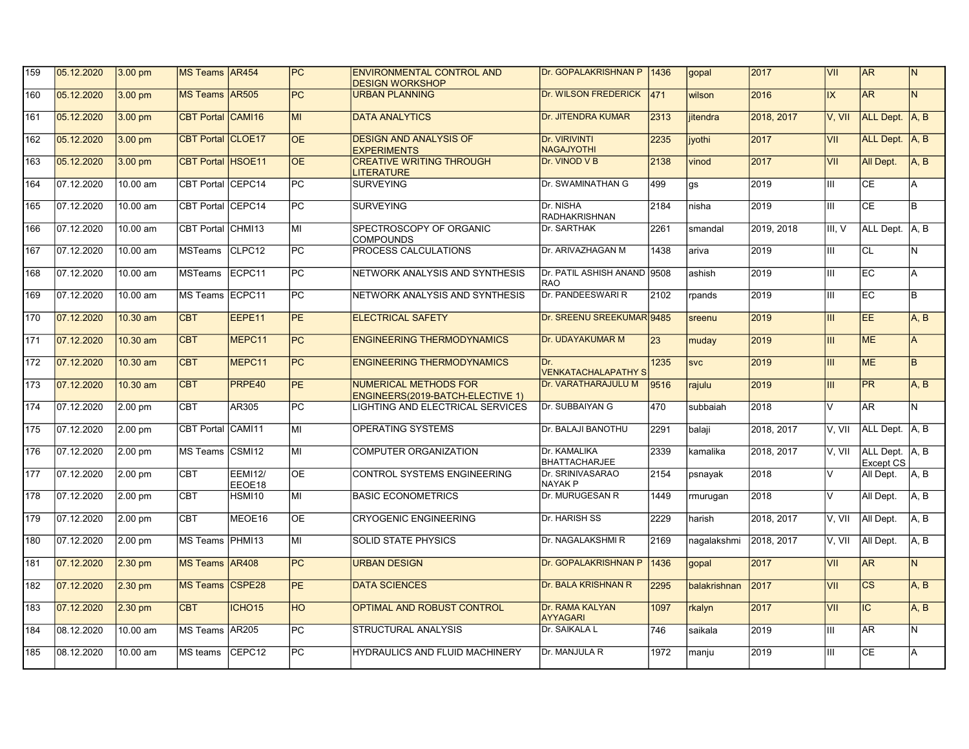| 159             | 05.12.2020 | $3.00$ pm | MS Teams AR454    |                          | PC              | <b>ENVIRONMENTAL CONTROL AND</b><br><b>DESIGN WORKSHOP</b>       | Dr. GOPALAKRISHNAN P   1436               |                  | gopal         | 2017                 | VII                      | AR                                 | IN.            |
|-----------------|------------|-----------|-------------------|--------------------------|-----------------|------------------------------------------------------------------|-------------------------------------------|------------------|---------------|----------------------|--------------------------|------------------------------------|----------------|
| 160             | 05.12.2020 | $3.00$ pm | MS Teams AR505    |                          | $\overline{PC}$ | <b>URBAN PLANNING</b>                                            | Dr. WILSON FREDERICK                      | $\overline{471}$ | wilson        | 2016                 | $\overline{\mathsf{IX}}$ | <b>AR</b>                          | IN.            |
| 161             | 05.12.2020 | 3.00 pm   | CBT Portal CAMI16 |                          | <b>MI</b>       | <b>DATA ANALYTICS</b>                                            | Dr. JITENDRA KUMAR                        | 2313             | iitendra      | 2018, 2017           | V. VII                   | ALL Dept. A, B                     |                |
| 162             | 05.12.2020 | $3.00$ pm | CBT Portal CLOE17 |                          | <b>OE</b>       | <b>DESIGN AND ANALYSIS OF</b><br><b>EXPERIMENTS</b>              | Dr. VIRIVINTI<br><b>NAGAJYOTHI</b>        | 2235             | <i>ivothi</i> | 2017                 | VII                      | ALL Dept. A, B                     |                |
| 163             | 05.12.2020 | $3.00$ pm | CBT Portal HSOE11 |                          | OE              | <b>CREATIVE WRITING THROUGH</b><br><b>LITERATURE</b>             | Dr. VINOD V B                             | 2138             | vinod         | 2017                 | VII                      | All Dept.                          | IA.B           |
| 164             | 07.12.2020 | 10.00 am  | CBT Portal CEPC14 |                          | PC.             | <b>SURVEYING</b>                                                 | Dr. SWAMINATHAN G                         | 499              | qs            | 2019                 | Ш                        | <b>CE</b>                          | A              |
| 165             | 07.12.2020 | 10.00 am  | CBT Portal CEPC14 |                          | <b>PC</b>       | <b>SURVEYING</b>                                                 | Dr. NISHA<br><b>RADHAKRISHNAN</b>         | 2184             | nisha         | 2019                 | Ш                        | <b>CE</b>                          | lв.            |
| 166             | 07.12.2020 | 10.00 am  | <b>CBT Portal</b> | CHM <sub>13</sub>        | МI              | SPECTROSCOPY OF ORGANIC<br><b>COMPOUNDS</b>                      | Dr. SARTHAK                               | 2261             | smandal       | 2019, 2018           | III. V                   | ALL Dept. A, B                     |                |
| 167             | 07.12.2020 | 10.00 am  | <b>MSTeams</b>    | CLPC12                   | PC              | PROCESS CALCULATIONS                                             | Dr. ARIVAZHAGAN M                         | 1438             | ariva         | 2019                 | Ш                        | lcL                                | lN.            |
| 168             | 07.12.2020 | 10.00 am  | <b>MSTeams</b>    | ECPC11                   | PC              | NETWORK ANALYSIS AND SYNTHESIS                                   | Dr. PATIL ASHISH ANAND 9508<br><b>RAO</b> |                  | ashish        | 2019                 | Ш                        | EC                                 | A              |
| 169             | 07.12.2020 | 10.00 am  | MS Teams ECPC11   |                          | PC              | NETWORK ANALYSIS AND SYNTHESIS                                   | Dr. PANDEESWARI R                         | 2102             | rpands        | 2019                 | Ш                        | EC                                 | lв             |
| 170             | 07.12.2020 | 10.30 am  | <b>CBT</b>        | EEPE11                   | <b>PE</b>       | <b>ELECTRICAL SAFETY</b>                                         | Dr. SREENU SREEKUMAR 9485                 |                  | sreenu        | 2019                 | III                      | <b>EE</b>                          | A, B           |
| 171             | 07.12.2020 | 10.30 am  | <b>CBT</b>        | MEPC11                   | PC              | <b>ENGINEERING THERMODYNAMICS</b>                                | <b>Dr. UDAYAKUMAR M</b>                   | 23               | muday         | 2019                 | Ш                        | <b>IME</b>                         | l A            |
| $\frac{1}{172}$ | 07.12.2020 | 10.30 am  | <b>CBT</b>        | MEPC11                   | PC              | <b>ENGINEERING THERMODYNAMICS</b>                                | Dr.<br><b>VENKATACHALAPATHYS</b>          | 1235             | <b>SVC</b>    | 2019                 | III                      | <b>ME</b>                          | <b>B</b>       |
| 173             | 07.12.2020 | 10.30 am  | <b>CBT</b>        | PRPE40                   | <b>PE</b>       | <b>NUMERICAL METHODS FOR</b><br>ENGINEERS(2019-BATCH-ELECTIVE 1) | Dr. VARATHARAJULU M                       | 9516             | rajulu        | 2019                 | Ш                        | PR                                 | A, B           |
| 174             | 07.12.2020 | 2.00 pm   | <b>CBT</b>        | AR305                    | PC              | LIGHTING AND ELECTRICAL SERVICES                                 | <b>IDr. SUBBAIYAN G</b>                   | 470              | subbaiah      | 2018                 | $\vee$                   | AR.                                | IN.            |
| 175             | 07.12.2020 | 2.00 pm   | CBT Portal CAMI11 |                          | MI              | OPERATING SYSTEMS                                                | Dr. BALAJI BANOTHU                        | 2291             | balaii        | 2018, 2017           | V. VII                   | ALL Dept. A, B                     |                |
| 176             | 07.12.2020 | 2.00 pm   | <b>MS Teams</b>   | CSMI12                   | MI              | <b>COMPUTER ORGANIZATION</b>                                     | Dr. KAMALIKA<br><b>BHATTACHARJEE</b>      | 2339             | kamalika      | 2018, 2017           | V, VII                   | ALL Dept. A. B<br><b>Except CS</b> |                |
| 177             | 07.12.2020 | $2.00$ pm | <b>CBT</b>        | <b>EEMI12/</b><br>EEOE18 | ОE              | CONTROL SYSTEMS ENGINEERING                                      | Dr. SRINIVASARAO<br><b>NAYAK P</b>        | 2154             | psnayak       | 2018                 | $\vee$                   | All Dept.                          | A.B            |
| 178             | 07.12.2020 | 2.00 pm   | <b>CBT</b>        | HSMI10                   | МI              | <b>BASIC ECONOMETRICS</b>                                        | Dr. MURUGESAN R                           | 1449             | rmurugan      | 2018                 | $\vee$                   | All Dept.                          | A, B           |
| 179             | 07.12.2020 | 2.00 pm   | <b>CBT</b>        | MEOE16                   | ΟE              | <b>CRYOGENIC ENGINEERING</b>                                     | Dr. HARISH SS                             | 2229             | harish        | 2018.2017            | V. VII                   | All Dept.                          | A.B            |
| 180             | 07.12.2020 | 2.00 pm   | <b>MS Teams</b>   | PHMI <sub>13</sub>       | MI              | <b>SOLID STATE PHYSICS</b>                                       | <b>Dr. NAGALAKSHMI R</b>                  | 2169             | nagalakshmi   | $\sqrt{2018}$ , 2017 | V. VII                   | All Dept.                          | A.B            |
| 181             | 07.12.2020 | $2.30$ pm | <b>MS Teams</b>   | <b>AR408</b>             | PC              | <b>URBAN DESIGN</b>                                              | Dr. GOPALAKRISHNAN P                      | 1436             | gopal         | 2017                 | VII                      | AR                                 | $\overline{N}$ |
| 182             | 07.12.2020 | $2.30$ pm | <b>MS Teams</b>   | <b>CSPE28</b>            | PE              | <b>DATA SCIENCES</b>                                             | Dr. BALA KRISHNAN R                       | 2295             | balakrishnan  | 2017                 | VII                      | <b>CS</b>                          | A, B           |
| 183             | 07.12.2020 | $2.30$ pm | <b>CBT</b>        | ICHO <sub>15</sub>       | HO              | <b>OPTIMAL AND ROBUST CONTROL</b>                                | Dr. RAMA KALYAN<br>AYYAGARI               | 1097             | rkalyn        | 2017                 | VII                      | IC.                                | A, B           |
| 184             | 08.12.2020 | 10.00 am  | MS Teams AR205    |                          | PC              | <b>STRUCTURAL ANALYSIS</b>                                       | Dr. SAIKALA L                             | 746              | saikala       | 2019                 | Ш                        | <b>AR</b>                          | IN.            |
| 185             | 08.12.2020 | 10.00 am  | MS teams          | CEPC <sub>12</sub>       | PC              | HYDRAULICS AND FLUID MACHINERY                                   | Dr. MANJULA R                             | 1972             | manju         | 2019                 | Ш                        | <b>CE</b>                          | A              |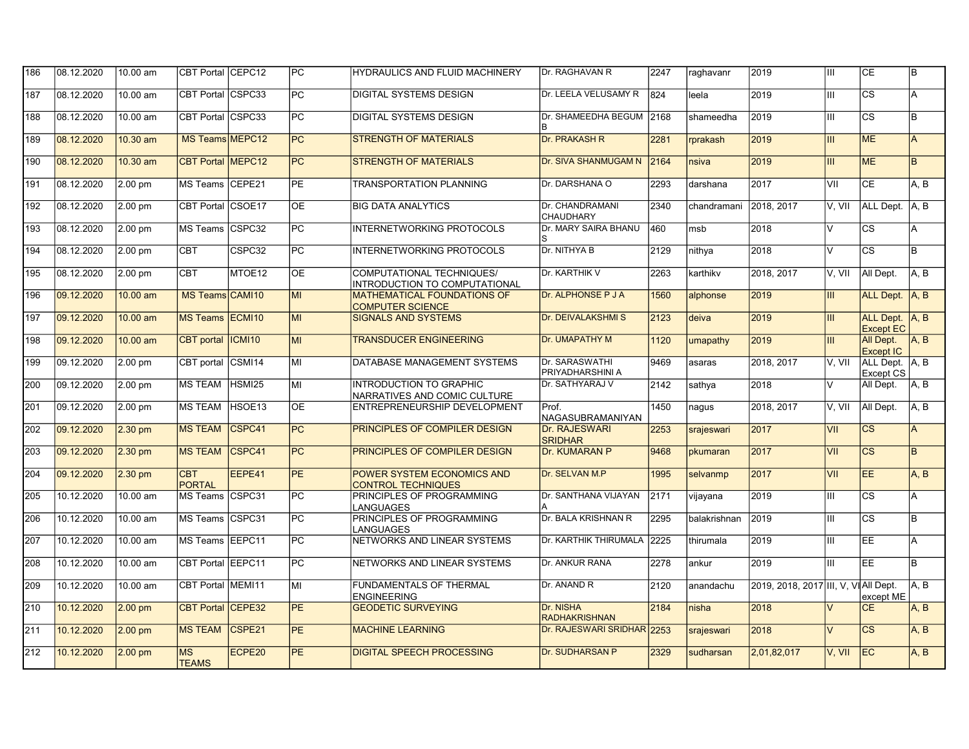| 186 | 08.12.2020 | 10.00 am  | CBT Portal CEPC12           |                    | PC              | HYDRAULICS AND FLUID MACHINERY                                 | <b>Dr. RAGHAVAN R</b>               | 2247 | raghavanr    | 2019                                 | Ш                       | СE                                 | lB.   |
|-----|------------|-----------|-----------------------------|--------------------|-----------------|----------------------------------------------------------------|-------------------------------------|------|--------------|--------------------------------------|-------------------------|------------------------------------|-------|
| 187 | 08.12.2020 | 10.00 am  | CBT Portal CSPC33           |                    | $\overline{PC}$ | <b>DIGITAL SYSTEMS DESIGN</b>                                  | Dr. LEELA VELUSAMY R                | 824  | leela        | 2019                                 | Ш                       | $\overline{\text{cs}}$             | A     |
| 188 | 08.12.2020 | 10.00 am  | CBT Portal CSPC33           |                    | PC              | <b>DIGITAL SYSTEMS DESIGN</b>                                  | Dr. SHAMEEDHA BEGUM 2168            |      | shameedha    | 2019                                 | Ш                       | $\overline{\text{cs}}$             | lв    |
| 189 | 08.12.2020 | 10.30 am  | MS Teams MEPC12             |                    | PC              | <b>STRENGTH OF MATERIALS</b>                                   | <b>Dr. PRAKASH R</b>                | 2281 | rprakash     | 2019                                 | Ш                       | <b>ME</b>                          | l A   |
| 190 | 08.12.2020 | 10.30 am  | <b>CBT Portal MEPC12</b>    |                    | PC              | <b>STRENGTH OF MATERIALS</b>                                   | <b>Dr. SIVA SHANMUGAM N</b>         | 2164 | nsiva        | 2019                                 | III                     | <b>ME</b>                          | lв.   |
| 191 | 08.12.2020 | 2.00 pm   | <b>MS Teams</b>             | CEPE21             | PE.             | <b>TRANSPORTATION PLANNING</b>                                 | Dr. DARSHANA O                      | 2293 | darshana     | 2017                                 | VII                     | <b>CE</b>                          | A.B   |
| 192 | 08.12.2020 | 2.00 pm   | <b>CBT Portal</b>           | CSOE <sub>17</sub> | ΟE              | <b>BIG DATA ANALYTICS</b>                                      | Dr. CHANDRAMANI<br><b>CHAUDHARY</b> | 2340 | chandramani  | 2018, 2017                           | V. VII                  | ALL Dept. A, B                     |       |
| 193 | 08.12.2020 | 2.00 pm   | <b>MS Teams</b>             | CSPC32             | РC              | <b>INTERNETWORKING PROTOCOLS</b>                               | Dr. MARY SAIRA BHANU                | 460  | msb          | 2018                                 | $\vee$                  | <b>CS</b>                          | A     |
| 194 | 08.12.2020 | 2.00 pm   | <b>CBT</b>                  | CSPC32             | $\overline{PC}$ | INTERNETWORKING PROTOCOLS                                      | Dr. NITHYA B                        | 2129 | nithya       | 2018                                 | $\overline{\mathsf{v}}$ | $\overline{\text{cs}}$             | lв.   |
| 195 | 08.12.2020 | 2.00 pm   | <b>CBT</b>                  | MTOE12             | <b>OE</b>       | COMPUTATIONAL TECHNIQUES/<br>INTRODUCTION TO COMPUTATIONAL     | Dr. KARTHIK V                       | 2263 | karthikv     | 2018, 2017                           | V, VII                  | All Dept.                          | A, B  |
| 196 | 09.12.2020 | 10.00 am  | MS Teams CAM110             |                    | MI              | <b>MATHEMATICAL FOUNDATIONS OF</b><br><b>COMPUTER SCIENCE</b>  | <b>Dr. ALPHONSE P J A</b>           | 1560 | alphonse     | 2019                                 | Ш                       | ALL Dept. A, B                     |       |
| 197 | 09.12.2020 | 10.00 am  | <b>MS Teams</b>             | ECMI <sub>10</sub> | MI              | <b>SIGNALS AND SYSTEMS</b>                                     | <b>Dr. DEIVALAKSHMIS</b>            | 2123 | deiva        | 2019                                 | Ш                       | ALL Dept. A, B<br><b>Except EC</b> |       |
| 198 | 09.12.2020 | 10.00 am  | <b>CBT</b> portal           | ICMI10             | <b>MI</b>       | <b>TRANSDUCER ENGINEERING</b>                                  | <b>Dr. UMAPATHY M</b>               | 1120 | umapathy     | 2019                                 | Ш                       | All Dept.<br>Except IC             | A, B  |
| 199 | 09.12.2020 | 2.00 pm   | <b>CBT</b> portal           | CSMI14             | MI              | DATABASE MANAGEMENT SYSTEMS                                    | Dr. SARASWATHI<br>PRIYADHARSHINI A  | 9469 | asaras       | 2018.2017                            | V. VII                  | ALL Dept. A, B<br><b>Except CS</b> |       |
| 200 | 09.12.2020 | 2.00 pm   | <b>MS TEAM</b>              | HSMI25             | МI              | <b>INTRODUCTION TO GRAPHIC</b><br>NARRATIVES AND COMIC CULTURE | Dr. SATHYARAJ V                     | 2142 | sathya       | 2018                                 | $\overline{\mathsf{v}}$ | All Dept.                          | A, B  |
| 201 | 09.12.2020 | 2.00 pm   | <b>MS TEAM</b>              | HSOE13             | ОE              | ENTREPRENEURSHIP DEVELOPMENT                                   | Prof.<br>NAGASUBRAMANIYAN           | 1450 | naqus        | 2018.2017                            | V. VII                  | All Dept.                          | IA. B |
| 202 | 09.12.2020 | $2.30$ pm | <b>MS TEAM</b>              | CSPC41             | PC              | <b>PRINCIPLES OF COMPILER DESIGN</b>                           | Dr. RAJESWARI<br><b>SRIDHAR</b>     | 2253 | srajeswari   | 2017                                 | VII                     | <b>CS</b>                          | A     |
| 203 | 09.12.2020 | $2.30$ pm | <b>MS TEAM</b>              | CSPC41             | PC              | PRINCIPLES OF COMPILER DESIGN                                  | Dr. KUMARAN P                       | 9468 | pkumaran     | 2017                                 | VII                     | $\overline{\text{cs}}$             | lB.   |
| 204 | 09.12.2020 | $2.30$ pm | <b>CBT</b><br><b>PORTAL</b> | EEPE41             | PE              | POWER SYSTEM ECONOMICS AND<br><b>CONTROL TECHNIQUES</b>        | Dr. SELVAN M.P                      | 1995 | selvanmp     | 2017                                 | VII                     | EE.                                | A, B  |
| 205 | 10.12.2020 | 10.00 am  | MS Teams CSPC31             |                    | PC              | PRINCIPLES OF PROGRAMMING<br>LANGUAGES                         | Dr. SANTHANA VIJAYAN                | 2171 | vijayana     | 2019                                 | Ш                       | $\overline{\text{cs}}$             | A     |
| 206 | 10.12.2020 | 10.00 am  | MS Teams                    | CSPC31             | PC              | PRINCIPLES OF PROGRAMMING<br>LANGUAGES                         | Dr. BALA KRISHNAN R                 | 2295 | balakrishnan | 2019                                 | Ш                       | <b>CS</b>                          | lв.   |
| 207 | 10.12.2020 | 10.00 am  | MS Teams EEPC11             |                    | PC              | NETWORKS AND LINEAR SYSTEMS                                    | Dr. KARTHIK THIRUMALA 2225          |      | thirumala    | 2019                                 | Ш                       | EE                                 | la.   |
| 208 | 10.12.2020 | 10.00 am  | CBT Portal EEPC11           |                    | PC              | NETWORKS AND LINEAR SYSTEMS                                    | <b>Dr. ANKUR RANA</b>               | 2278 | ankur        | 2019                                 | Ш                       | EE                                 | lB.   |
| 209 | 10.12.2020 | 10.00 am  | <b>CBT Portal MEMI11</b>    |                    | MI              | <b>FUNDAMENTALS OF THERMAL</b><br><b>ENGINEERING</b>           | Dr. ANAND R                         | 2120 | anandachu    | 2019, 2018, 2017 III, V. VIAII Dept. |                         | except ME                          | IA. B |
| 210 | 10.12.2020 | $2.00$ pm | <b>CBT Portal CEPE32</b>    |                    | PE              | <b>GEODETIC SURVEYING</b>                                      | Dr. NISHA<br><b>RADHAKRISHNAN</b>   | 2184 | nisha        | 2018                                 | $\vee$                  | CE                                 | A, B  |
| 211 | 10.12.2020 | $2.00$ pm | <b>MS TEAM</b>              | CSPE <sub>21</sub> | <b>PE</b>       | <b>MACHINE LEARNING</b>                                        | Dr. RAJESWARI SRIDHAR 2253          |      | srajeswari   | 2018                                 | $\vee$                  | $\overline{\text{cs}}$             | A, B  |
| 212 | 10.12.2020 | $2.00$ pm | <b>MS</b><br><b>TEAMS</b>   | ECPE20             | PE              | <b>DIGITAL SPEECH PROCESSING</b>                               | Dr. SUDHARSAN P                     | 2329 | sudharsan    | 2,01,82,017                          | V. VII                  | IEC.                               | A.B   |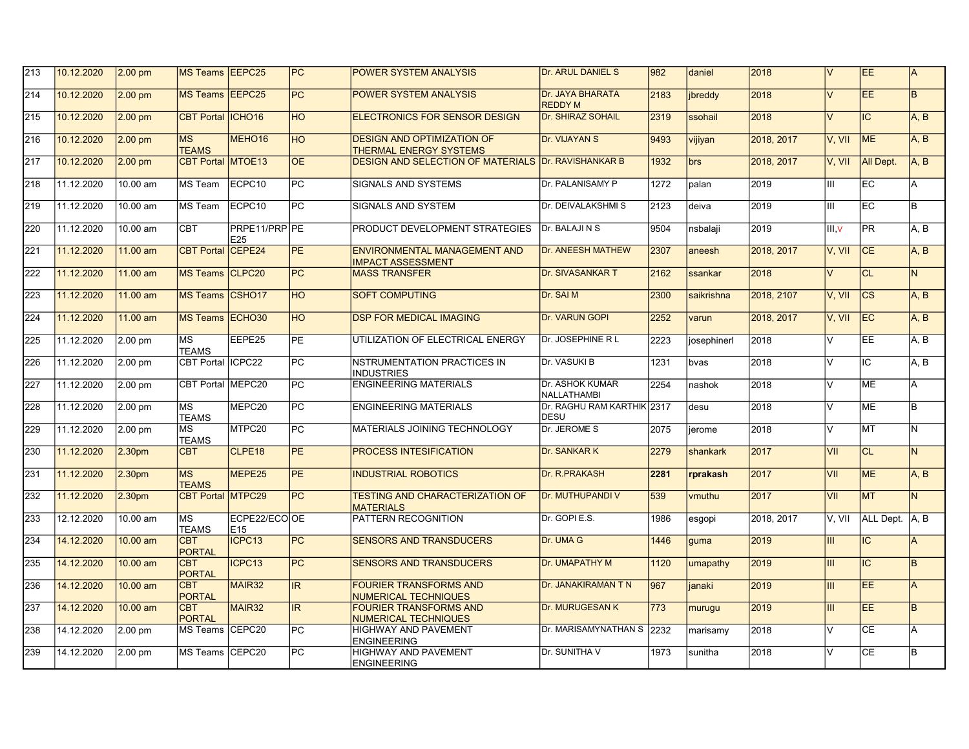| 213              | 10.12.2020 | $2.00 \text{ pm}$  | <b>MS Teams EEPC25</b>      |                                 | PC              | <b>POWER SYSTEM ANALYSIS</b>                                       | Dr. ARUL DANIEL S                     | 982  | daniel      | 2018       | lv             | EE.            | IA.      |
|------------------|------------|--------------------|-----------------------------|---------------------------------|-----------------|--------------------------------------------------------------------|---------------------------------------|------|-------------|------------|----------------|----------------|----------|
| 214              | 10.12.2020 | $2.00 \text{ pm}$  | <b>MS Teams EEPC25</b>      |                                 | $\overline{PC}$ | <b>POWER SYSTEM ANALYSIS</b>                                       | Dr. JAYA BHARATA<br><b>REDDY M</b>    | 2183 | ibreddy     | 2018       | $\vee$         | <b>EE</b>      | B.       |
| 215              | 10.12.2020 | $2.00$ pm          | <b>CBT Portal ICHO16</b>    |                                 | <b>HO</b>       | <b>ELECTRONICS FOR SENSOR DESIGN</b>                               | <b>Dr. SHIRAZ SOHAIL</b>              | 2319 | ssohail     | 2018       | $\vee$         | IC.            | A.B      |
| $\overline{216}$ | 10.12.2020 | $2.00 \text{ pm}$  | <b>MS</b><br><b>TEAMS</b>   | MEHO <sub>16</sub>              | <b>HO</b>       | <b>DESIGN AND OPTIMIZATION OF</b><br><b>THERMAL ENERGY SYSTEMS</b> | Dr. VIJAYAN S                         | 9493 | vijiyan     | 2018, 2017 | V, VII         | <b>ME</b>      | A, B     |
| 217              | 10.12.2020 | $2.00 \text{ pm}$  | <b>CBT Portal MTOE13</b>    |                                 | OE              | <b>DESIGN AND SELECTION OF MATERIALS Dr. RAVISHANKAR B</b>         |                                       | 1932 | <b>lbrs</b> | 2018, 2017 | V, VII         | All Dept.      | IA.B     |
| 218              | 11.12.2020 | 10.00 am           | <b>MS Team</b>              | ECPC10                          | PC              | <b>SIGNALS AND SYSTEMS</b>                                         | Dr. PALANISAMY P                      | 1272 | Ipalan      | 2019       | Ш              | EC             | A        |
| 219              | 11.12.2020 | 10.00 am           | <b>MS Team</b>              | ECPC10                          | <b>PC</b>       | <b>SIGNALS AND SYSTEM</b>                                          | Dr. DEIVALAKSHMI S                    | 2123 | deiva       | 2019       | Ш              | EC             | lB.      |
| 220              | 11.12.2020 | 10.00 am           | <b>CBT</b>                  | PRPE11/PRP PE<br>E25            |                 | PRODUCT DEVELOPMENT STRATEGIES                                     | Dr. BALAJI N S                        | 9504 | nsbalaji    | 2019       | III V          | <b>PR</b>      | A.B      |
| 221              | 11.12.2020 | 11.00 am           | <b>CBT Portal</b>           | ICEPE24                         | <b>PE</b>       | ENVIRONMENTAL MANAGEMENT AND<br><b>IMPACT ASSESSMENT</b>           | <b>Dr. ANEESH MATHEW</b>              | 2307 | aneesh      | 2018, 2017 | V. VII         | ICE.           | A.B      |
| 222              | 11.12.2020 | 11.00 am           | MS Teams CLPC20             |                                 | PC              | <b>MASS TRANSFER</b>                                               | Dr. SIVASANKAR T                      | 2162 | ssankar     | 2018       | $\vee$         | <b>CL</b>      | N.       |
| 223              | 11.12.2020 | 11.00 am           | <b>MS Teams</b>             | ICSHO <sub>17</sub>             | $\overline{HO}$ | <b>SOFT COMPUTING</b>                                              | Dr. SAI M                             | 2300 | saikrishna  | 2018, 2107 | V. VII         | <b>CS</b>      | A.B      |
| 224              | 11.12.2020 | 11.00 am           | <b>MS Teams ECHO30</b>      |                                 | <b>HO</b>       | <b>DSP FOR MEDICAL IMAGING</b>                                     | Dr. VARUN GOPI                        | 2252 | varun       | 2018, 2017 | V. VII         | IEC.           | A.B      |
| 225              | 11.12.2020 | 2.00 pm            | <b>MS</b><br><b>TEAMS</b>   | EEPE25                          | <b>PE</b>       | UTILIZATION OF ELECTRICAL ENERGY                                   | Dr. JOSEPHINE R L                     | 2223 | josephinerl | 2018       | $\vee$         | EE             | A, B     |
| 226              | 11.12.2020 | 2.00 pm            | CBT Portal ICPC22           |                                 | PC              | <b>NSTRUMENTATION PRACTICES IN</b><br><b>INDUSTRIES</b>            | Dr. VASUKI B                          | 1231 | Ibvas       | 2018       | $\vee$         | IC             | IA. B    |
| 227              | 11.12.2020 | 2.00 pm            | CBT Portal MEPC20           |                                 | PC              | <b>ENGINEERING MATERIALS</b>                                       | Dr. ASHOK KUMAR<br><b>NALLATHAMBI</b> | 2254 | nashok      | 2018       | $\overline{V}$ | <b>ME</b>      | A        |
| 228              | 11.12.2020 | 2.00 pm            | <b>MS</b><br>TEAMS          | MEPC <sub>20</sub>              | PC              | <b>ENGINEERING MATERIALS</b>                                       | Dr. RAGHU RAM KARTHIK 2317<br>DESU    |      | desu        | 2018       | V              | ME             | lв       |
| 229              | 11.12.2020 | 2.00 pm            | <b>MS</b><br><b>TEAMS</b>   | MTPC <sub>20</sub>              | PC              | MATERIALS JOINING TECHNOLOGY                                       | Dr. JEROME S                          | 2075 | ierome      | 2018       | lv             | MT             | lN.      |
| 230              | 11.12.2020 | 2.30 <sub>pm</sub> | <b>CBT</b>                  | CLPE <sub>18</sub>              | <b>PE</b>       | <b>PROCESS INTESIFICATION</b>                                      | Dr. SANKAR K                          | 2279 | shankark    | 2017       | VII            | <b>CL</b>      | IN.      |
| 231              | 11.12.2020 | 2.30pm             | <b>MS</b><br><b>TEAMS</b>   | MEPE <sub>25</sub>              | <b>PE</b>       | <b>INDUSTRIAL ROBOTICS</b>                                         | Dr. R. PRAKASH                        | 2281 | rprakash    | 2017       | VII            | <b>ME</b>      | A.B      |
| 232              | 11.12.2020 | 2.30pm             | <b>CBT Portal MTPC29</b>    |                                 | PC              | <b>TESTING AND CHARACTERIZATION OF</b><br><b>MATERIALS</b>         | Dr. MUTHUPANDI V                      | 539  | vmuthu      | 2017       | VII            | <b>MT</b>      | IN.      |
| 233              | 12.12.2020 | 10.00 am           | <b>MS</b><br><b>TEAMS</b>   | ECPE22/ECOOE<br>E <sub>15</sub> |                 | PATTERN RECOGNITION                                                | Dr. GOPI E.S.                         | 1986 | esgopi      | 2018, 2017 | V. VII         | ALL Dept. A, B |          |
| 234              | 14.12.2020 | 10.00 am           | <b>CBT</b><br><b>PORTAL</b> | ICPC13                          | $\overline{PC}$ | <b>SENSORS AND TRANSDUCERS</b>                                     | Dr. UMA G                             | 1446 | quma        | 2019       | Ш              | IC.            | A        |
| 235              | 14.12.2020 | 10.00 am           | <b>CBT</b><br><b>PORTAL</b> | ICPC <sub>13</sub>              | PC              | <b>SENSORS AND TRANSDUCERS</b>                                     | Dr. UMAPATHY M                        | 1120 | umapathy    | 2019       | Ш              | IC.            | lв.      |
| 236              | 14.12.2020 | 10.00 am           | <b>CBT</b><br><b>PORTAL</b> | MAIR <sub>32</sub>              | IR              | <b>FOURIER TRANSFORMS AND</b><br><b>NUMERICAL TECHNIQUES</b>       | Dr. JANAKIRAMAN T N                   | 967  | janaki      | 2019       | Ш              | EE.            | A        |
| 237              | 14.12.2020 | 10.00 am           | <b>CBT</b><br><b>PORTAL</b> | MAIR <sub>32</sub>              | IR              | <b>FOURIER TRANSFORMS AND</b><br><b>NUMERICAL TECHNIQUES</b>       | <b>Dr. MURUGESAN K</b>                | 773  | murugu      | 2019       | Ш              | EE             | <b>B</b> |
| 238              | 14.12.2020 | 2.00 pm            | MS Teams CEPC20             |                                 | PC              | <b>HIGHWAY AND PAVEMENT</b><br><b>ENGINEERING</b>                  | Dr. MARISAMYNATHAN S 2232             |      | marisamy    | 2018       | $\overline{V}$ | <b>CE</b>      | A        |
| 239              | 14.12.2020 | 2.00 pm            | MS Teams CEPC20             |                                 | $\overline{PC}$ | HIGHWAY AND PAVEMENT<br><b>ENGINEERING</b>                         | Dr. SUNITHA V                         | 1973 | sunitha     | 2018       | V              | <b>CE</b>      | lB.      |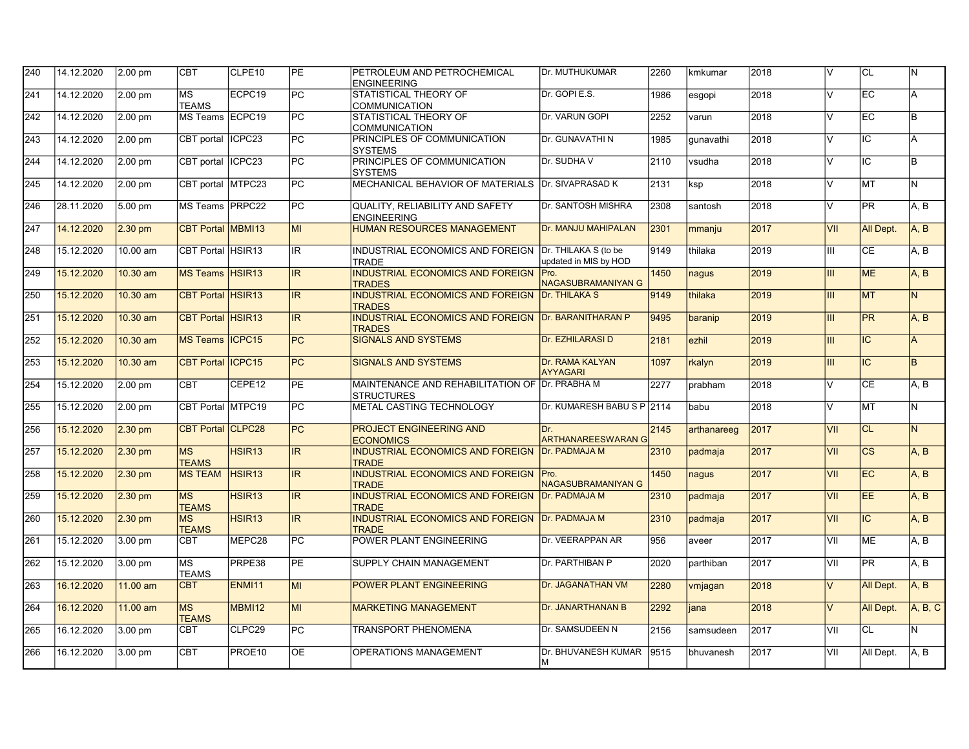| 14.12.2020 | 2.00 pm    | <b>CBT</b>                | CLPE10             | <b>PE</b>                                                                                                                                                                                                                                                                                                                                                       | PETROLEUM AND PETROCHEMICAL<br><b>ENGINEERING</b>            | Dr. MUTHUKUMAR                     | 2260                                                                                                                                                                                                                                                                                                                                                                                                                                                                                                                                | kmkumar                                                                 | 2018 | V                       | ICL       | IN.      |
|------------|------------|---------------------------|--------------------|-----------------------------------------------------------------------------------------------------------------------------------------------------------------------------------------------------------------------------------------------------------------------------------------------------------------------------------------------------------------|--------------------------------------------------------------|------------------------------------|-------------------------------------------------------------------------------------------------------------------------------------------------------------------------------------------------------------------------------------------------------------------------------------------------------------------------------------------------------------------------------------------------------------------------------------------------------------------------------------------------------------------------------------|-------------------------------------------------------------------------|------|-------------------------|-----------|----------|
| 14.12.2020 | 2.00 pm    | <b>MS</b><br><b>TEAMS</b> | ECPC19             | $\overline{PC}$                                                                                                                                                                                                                                                                                                                                                 | STATISTICAL THEORY OF<br><b>COMMUNICATION</b>                | Dr. GOPI E.S.                      | 1986                                                                                                                                                                                                                                                                                                                                                                                                                                                                                                                                | esgopi                                                                  | 2018 | $\vee$                  | EC        | A        |
| 14.12.2020 | 2.00 pm    |                           |                    | PC.                                                                                                                                                                                                                                                                                                                                                             | STATISTICAL THEORY OF<br>COMMUNICATION                       | Dr. VARUN GOPI                     | 2252                                                                                                                                                                                                                                                                                                                                                                                                                                                                                                                                | varun                                                                   | 2018 | $\vee$                  | EC        | lв.      |
|            | 2.00 pm    |                           |                    |                                                                                                                                                                                                                                                                                                                                                                 | PRINCIPLES OF COMMUNICATION<br><b>SYSTEMS</b>                | Dr. GUNAVATHI N                    |                                                                                                                                                                                                                                                                                                                                                                                                                                                                                                                                     | qunavathi                                                               | 2018 | $\vee$                  |           | A        |
| 14.12.2020 |            | CBT portal                |                    |                                                                                                                                                                                                                                                                                                                                                                 | PRINCIPLES OF COMMUNICATION<br><b>SYSTEMS</b>                |                                    | 2110                                                                                                                                                                                                                                                                                                                                                                                                                                                                                                                                | vsudha                                                                  | 2018 | $\vee$                  |           | lв.      |
| 14.12.2020 | 2.00 pm    |                           |                    | PC                                                                                                                                                                                                                                                                                                                                                              |                                                              |                                    | 2131                                                                                                                                                                                                                                                                                                                                                                                                                                                                                                                                | ksp                                                                     | 2018 | $\vee$                  | MT        | N.       |
| 28.11.2020 | 5.00 pm    |                           |                    | PC                                                                                                                                                                                                                                                                                                                                                              | <b>QUALITY. RELIABILITY AND SAFETY</b><br><b>ENGINEERING</b> | Dr. SANTOSH MISHRA                 | 2308                                                                                                                                                                                                                                                                                                                                                                                                                                                                                                                                | santosh                                                                 | 2018 | $\vee$                  | <b>PR</b> | A.B      |
| 14.12.2020 | $2.30$ pm  |                           |                    | MI                                                                                                                                                                                                                                                                                                                                                              | <b>HUMAN RESOURCES MANAGEMENT</b>                            | Dr. MANJU MAHIPALAN                | 2301                                                                                                                                                                                                                                                                                                                                                                                                                                                                                                                                | mmanju                                                                  | 2017 | VII                     | All Dept. | A, B     |
| 15.12.2020 | 10.00 am   |                           |                    | IR.                                                                                                                                                                                                                                                                                                                                                             | <b>TRADE</b>                                                 | updated in MIS by HOD              | 9149                                                                                                                                                                                                                                                                                                                                                                                                                                                                                                                                | thilaka                                                                 | 2019 | Ш                       | <b>CE</b> | A, B     |
| 15.12.2020 | 10.30 am   |                           |                    | $\overline{\mathsf{IR}}$                                                                                                                                                                                                                                                                                                                                        | <b>TRADES</b>                                                | <b>NAGASUBRAMANIYAN G</b>          | 1450                                                                                                                                                                                                                                                                                                                                                                                                                                                                                                                                | nagus                                                                   | 2019 | Ш                       | <b>ME</b> | A, B     |
| 15.12.2020 | 10.30 am   |                           |                    | IR.                                                                                                                                                                                                                                                                                                                                                             | <b>TRADES</b>                                                |                                    | 9149                                                                                                                                                                                                                                                                                                                                                                                                                                                                                                                                | thilaka                                                                 | 2019 | Ш                       | <b>MT</b> | N.       |
| 15.12.2020 | 10.30 am   |                           |                    | IR                                                                                                                                                                                                                                                                                                                                                              | <b>TRADES</b>                                                |                                    | 9495                                                                                                                                                                                                                                                                                                                                                                                                                                                                                                                                | baranip                                                                 | 2019 | III                     | <b>PR</b> | A, B     |
| 15.12.2020 | 10.30 am   |                           |                    | <b>PC</b>                                                                                                                                                                                                                                                                                                                                                       | <b>SIGNALS AND SYSTEMS</b>                                   | Dr. EZHILARASI D                   | 2181                                                                                                                                                                                                                                                                                                                                                                                                                                                                                                                                | ezhil                                                                   | 2019 | Ш                       | IC.       | A        |
| 15.12.2020 | 10.30 am   |                           |                    | <b>PC</b>                                                                                                                                                                                                                                                                                                                                                       | <b>SIGNALS AND SYSTEMS</b>                                   | Dr. RAMA KALYAN<br><b>AYYAGARI</b> | 1097                                                                                                                                                                                                                                                                                                                                                                                                                                                                                                                                | rkalyn                                                                  | 2019 | Ш                       | <b>IC</b> | B.       |
| 15.12.2020 | 2.00 pm    | <b>CBT</b>                | CEPE12             | <b>PE</b>                                                                                                                                                                                                                                                                                                                                                       | <b>STRUCTURES</b>                                            |                                    | 2277                                                                                                                                                                                                                                                                                                                                                                                                                                                                                                                                | prabham                                                                 | 2018 | $\overline{\mathsf{v}}$ | CE        | A, B     |
| 15.12.2020 | 2.00 pm    |                           |                    | <b>PC</b>                                                                                                                                                                                                                                                                                                                                                       | METAL CASTING TECHNOLOGY                                     |                                    |                                                                                                                                                                                                                                                                                                                                                                                                                                                                                                                                     | babu                                                                    | 2018 | $\vee$                  | lмт       | lN.      |
| 15.12.2020 | $2.30$ pm  |                           |                    | $\overline{PC}$                                                                                                                                                                                                                                                                                                                                                 | PROJECT ENGINEERING AND<br><b>ECONOMICS</b>                  | Dr.                                | 2145                                                                                                                                                                                                                                                                                                                                                                                                                                                                                                                                | arthanareeg                                                             | 2017 | VII                     | CL        | IN.      |
| 15.12.2020 | $2.30$ pm  | <b>MS</b><br><b>TEAMS</b> | HSIR <sub>13</sub> | IR.                                                                                                                                                                                                                                                                                                                                                             | <b>TRADE</b>                                                 |                                    | 2310                                                                                                                                                                                                                                                                                                                                                                                                                                                                                                                                | padmaja                                                                 | 2017 | VII                     | <b>CS</b> | A.B      |
| 15.12.2020 | $2.30$ pm  | <b>MS TEAM</b>            |                    | IR.                                                                                                                                                                                                                                                                                                                                                             | <b>TRADE</b>                                                 | <b>NAGASUBRAMANIYAN G</b>          | 1450                                                                                                                                                                                                                                                                                                                                                                                                                                                                                                                                | nagus                                                                   | 2017 | VII                     | EC        | A, B     |
| 15.12.2020 | $2.30$ pm  | MS<br><b>TEAMS</b>        | HSIR <sub>13</sub> | IR.                                                                                                                                                                                                                                                                                                                                                             | <b>TRADE</b>                                                 |                                    | 2310                                                                                                                                                                                                                                                                                                                                                                                                                                                                                                                                | padmaja                                                                 | 2017 | VII                     | EE        | A, B     |
| 15.12.2020 | $2.30$ pm  | <b>MS</b><br><b>TEAMS</b> | HSIR <sub>13</sub> | IR.                                                                                                                                                                                                                                                                                                                                                             | <b>TRADE</b>                                                 |                                    | 2310                                                                                                                                                                                                                                                                                                                                                                                                                                                                                                                                | padmaia                                                                 | 2017 | VII                     | IC.       | A.B      |
| 15.12.2020 | 3.00 pm    | <b>CBT</b>                | MEPC28             | $\overline{PC}$                                                                                                                                                                                                                                                                                                                                                 | POWER PLANT ENGINEERING                                      | Dr. VEERAPPAN AR                   | 956                                                                                                                                                                                                                                                                                                                                                                                                                                                                                                                                 | aveer                                                                   | 2017 | VII                     | <b>ME</b> | A, B     |
| 15.12.2020 | 3.00 pm    | <b>MS</b><br><b>TEAMS</b> |                    | <b>PE</b>                                                                                                                                                                                                                                                                                                                                                       | SUPPLY CHAIN MANAGEMENT                                      | Dr. PARTHIBAN P                    | 2020                                                                                                                                                                                                                                                                                                                                                                                                                                                                                                                                | parthiban                                                               | 2017 | VII                     | <b>PR</b> | A, B     |
| 16.12.2020 | 11.00 am   | <b>CBT</b>                | <b>ENMI11</b>      | MI                                                                                                                                                                                                                                                                                                                                                              | POWER PLANT ENGINEERING                                      | Dr. JAGANATHAN VM                  | 2280                                                                                                                                                                                                                                                                                                                                                                                                                                                                                                                                | vmjagan                                                                 | 2018 | $\vee$                  | All Dept. | A, B     |
| 16.12.2020 | 11.00 am   | MS<br><b>TEAMS</b>        | <b>MBMI12</b>      | MI                                                                                                                                                                                                                                                                                                                                                              | <b>MARKETING MANAGEMENT</b>                                  | <b>Dr. JANARTHANAN B</b>           | 2292                                                                                                                                                                                                                                                                                                                                                                                                                                                                                                                                | liana                                                                   | 2018 | $\vee$                  | All Dept. | A, B, C  |
| 16.12.2020 | 3.00 pm    | <b>CBT</b>                | CLPC29             | PC                                                                                                                                                                                                                                                                                                                                                              | <b>TRANSPORT PHENOMENA</b>                                   | Dr. SAMSUDEEN N                    | 2156                                                                                                                                                                                                                                                                                                                                                                                                                                                                                                                                | samsudeen                                                               | 2017 | VII                     | <b>CL</b> | N.       |
| 16.12.2020 | 3.00 pm    | <b>CBT</b>                | PROE10             | ΟE                                                                                                                                                                                                                                                                                                                                                              | <b>OPERATIONS MANAGEMENT</b>                                 | Dr. BHUVANESH KUMAR<br>M           |                                                                                                                                                                                                                                                                                                                                                                                                                                                                                                                                     | bhuvanesh                                                               | 2017 | VII                     | All Dept. | A, B     |
|            | 14.12.2020 | 2.00 pm                   |                    | MS Teams IECPC19<br>CBT portal ICPC23<br>ICPC <sub>23</sub><br>CBT portal MTPC23<br>MS Teams PRPC22<br><b>CBT Portal MBMI13</b><br>CBT Portal HSIR13<br><b>MS Teams HSIR13</b><br>CBT Portal HSIR13<br><b>CBT Portal HSIR13</b><br><b>MS Teams ICPC15</b><br>CBT Portal ICPC15<br>CBT Portal MTPC19<br><b>CBT Portal CLPC28</b><br>HSIR <sub>13</sub><br>PRPE38 | PC<br>PC.                                                    |                                    | Dr. SUDHA V<br>MECHANICAL BEHAVIOR OF MATERIALS Dr. SIVAPRASAD K<br>INDUSTRIAL ECONOMICS AND FOREIGN Dr. THILAKA S (to be<br>INDUSTRIAL ECONOMICS AND FOREIGN Pro.<br>INDUSTRIAL ECONOMICS AND FOREIGN Dr. THILAKA S<br>INDUSTRIAL ECONOMICS AND FOREIGN Dr. BARANITHARAN P<br>MAINTENANCE AND REHABILITATION OF Dr. PRABHA M<br>INDUSTRIAL ECONOMICS AND FOREIGN Dr. PADMAJA M<br>INDUSTRIAL ECONOMICS AND FOREIGN Pro.<br><b>INDUSTRIAL ECONOMICS AND FOREIGN Dr. PADMAJA M</b><br>INDUSTRIAL ECONOMICS AND FOREIGN Dr. PADMAJA M | 1985<br>Dr. KUMARESH BABU S P 2114<br><b>ARTHANAREESWARAN G</b><br>9515 |      |                         |           | IC<br>IC |